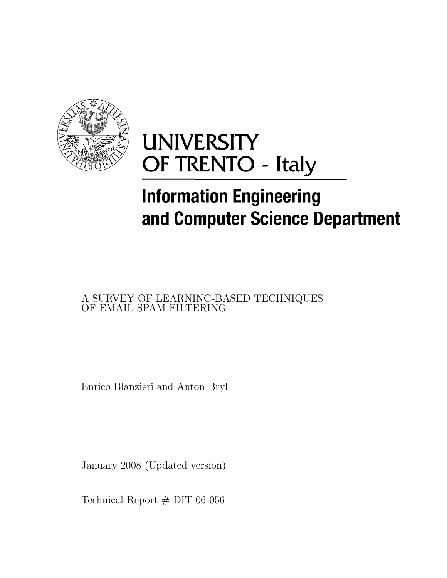

# **UNIVERSITY OF TRENTO - Italy**

# **Information Engineering** and Computer Science Department

# A SURVEY OF LEARNING-BASED TECHNIQUES OF EMAIL SPAM FILTERING

Enrico Blanzieri and Anton Bryl

January 2008 (Updated version)

Technical Report  $\#$  DIT-06-056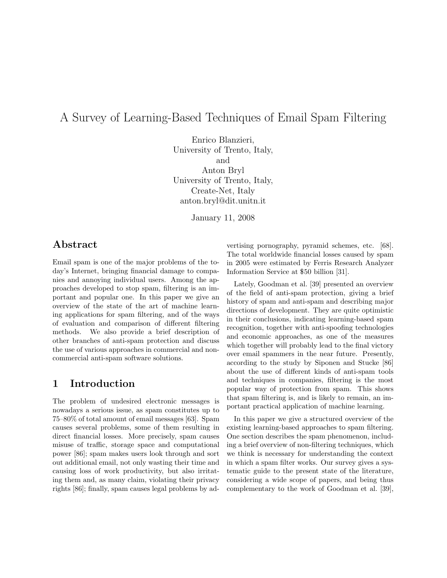# A Survey of Learning-Based Techniques of Email Spam Filtering

Enrico Blanzieri, University of Trento, Italy, and Anton Bryl University of Trento, Italy, Create-Net, Italy anton.bryl@dit.unitn.it

January 11, 2008

## Abstract

Email spam is one of the major problems of the today's Internet, bringing financial damage to companies and annoying individual users. Among the approaches developed to stop spam, filtering is an important and popular one. In this paper we give an overview of the state of the art of machine learning applications for spam filtering, and of the ways of evaluation and comparison of different filtering methods. We also provide a brief description of other branches of anti-spam protection and discuss the use of various approaches in commercial and noncommercial anti-spam software solutions.

## 1 Introduction

The problem of undesired electronic messages is nowadays a serious issue, as spam constitutes up to 75–80% of total amount of email messages [63]. Spam causes several problems, some of them resulting in direct financial losses. More precisely, spam causes misuse of traffic, storage space and computational power [86]; spam makes users look through and sort out additional email, not only wasting their time and causing loss of work productivity, but also irritating them and, as many claim, violating their privacy rights [86]; finally, spam causes legal problems by advertising pornography, pyramid schemes, etc. [68]. The total worldwide financial losses caused by spam in 2005 were estimated by Ferris Research Analyzer Information Service at \$50 billion [31].

Lately, Goodman et al. [39] presented an overview of the field of anti-spam protection, giving a brief history of spam and anti-spam and describing major directions of development. They are quite optimistic in their conclusions, indicating learning-based spam recognition, together with anti-spoofing technologies and economic approaches, as one of the measures which together will probably lead to the final victory over email spammers in the near future. Presently, according to the study by Siponen and Stucke [86] about the use of different kinds of anti-spam tools and techniques in companies, filtering is the most popular way of protection from spam. This shows that spam filtering is, and is likely to remain, an important practical application of machine learning.

In this paper we give a structured overview of the existing learning-based approaches to spam filtering. One section describes the spam phenomenon, including a brief overview of non-filtering techniques, which we think is necessary for understanding the context in which a spam filter works. Our survey gives a systematic guide to the present state of the literature, considering a wide scope of papers, and being thus complementary to the work of Goodman et al. [39],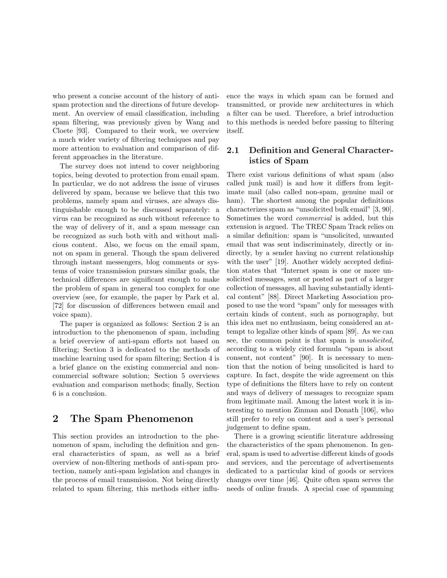who present a concise account of the history of antispam protection and the directions of future development. An overview of email classification, including spam filtering, was previously given by Wang and Cloete [93]. Compared to their work, we overview a much wider variety of filtering techniques and pay more attention to evaluation and comparison of different approaches in the literature.

The survey does not intend to cover neighboring topics, being devoted to protection from email spam. In particular, we do not address the issue of viruses delivered by spam, because we believe that this two problems, namely spam and viruses, are always distinguishable enough to be discussed separately: a virus can be recognized as such without reference to the way of delivery of it, and a spam message can be recognized as such both with and without malicious content. Also, we focus on the email spam, not on spam in general. Though the spam delivered through instant messengers, blog comments or systems of voice transmission pursues similar goals, the technical differences are significant enough to make the problem of spam in general too complex for one overview (see, for example, the paper by Park et al. [72] for discussion of differences between email and voice spam).

The paper is organized as follows: Section 2 is an introduction to the phenomenon of spam, including a brief overview of anti-spam efforts not based on filtering; Section 3 is dedicated to the methods of machine learning used for spam filtering; Section 4 is a brief glance on the existing commercial and noncommercial software solution; Section 5 overviews evaluation and comparison methods; finally, Section 6 is a conclusion.

## 2 The Spam Phenomenon

This section provides an introduction to the phenomenon of spam, including the definition and general characteristics of spam, as well as a brief overview of non-filtering methods of anti-spam protection, namely anti-spam legislation and changes in the process of email transmission. Not being directly related to spam filtering, this methods either influence the ways in which spam can be formed and transmitted, or provide new architectures in which a filter can be used. Therefore, a brief introduction to this methods is needed before passing to filtering itself.

## 2.1 Definition and General Characteristics of Spam

There exist various definitions of what spam (also called junk mail) is and how it differs from legitimate mail (also called non-spam, genuine mail or ham). The shortest among the popular definitions characterizes spam as "unsolicited bulk email" [3, 90]. Sometimes the word commercial is added, but this extension is argued. The TREC Spam Track relies on a similar definition: spam is "unsolicited, unwanted email that was sent indiscriminately, directly or indirectly, by a sender having no current relationship with the user" [19]. Another widely accepted definition states that "Internet spam is one or more unsolicited messages, sent or posted as part of a larger collection of messages, all having substantially identical content" [88]. Direct Marketing Association proposed to use the word "spam" only for messages with certain kinds of content, such as pornography, but this idea met no enthusiasm, being considered an attempt to legalize other kinds of spam [89]. As we can see, the common point is that spam is *unsolicited*, according to a widely cited formula "spam is about consent, not content" [90]. It is necessary to mention that the notion of being unsolicited is hard to capture. In fact, despite the wide agreement on this type of definitions the filters have to rely on content and ways of delivery of messages to recognize spam from legitimate mail. Among the latest work it is interesting to mention Zinman and Donath [106], who still prefer to rely on content and a user's personal judgement to define spam.

There is a growing scientific literature addressing the characteristics of the spam phenomenon. In general, spam is used to advertise different kinds of goods and services, and the percentage of advertisements dedicated to a particular kind of goods or services changes over time [46]. Quite often spam serves the needs of online frauds. A special case of spamming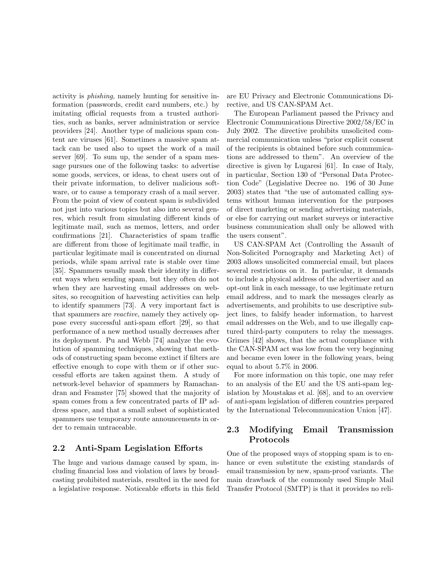activity is phishing, namely hunting for sensitive information (passwords, credit card numbers, etc.) by imitating official requests from a trusted authorities, such as banks, server administration or service providers [24]. Another type of malicious spam content are viruses [61]. Sometimes a massive spam attack can be used also to upset the work of a mail server [69]. To sum up, the sender of a spam message pursues one of the following tasks: to advertise some goods, services, or ideas, to cheat users out of their private information, to deliver malicious software, or to cause a temporary crash of a mail server. From the point of view of content spam is subdivided not just into various topics but also into several genres, which result from simulating different kinds of legitimate mail, such as memos, letters, and order confirmations [21]. Characteristics of spam traffic are different from those of legitimate mail traffic, in particular legitimate mail is concentrated on diurnal periods, while spam arrival rate is stable over time [35]. Spammers usually mask their identity in different ways when sending spam, but they often do not when they are harvesting email addresses on websites, so recognition of harvesting activities can help to identify spammers [73]. A very important fact is that spammers are reactive, namely they actively oppose every successful anti-spam effort [29], so that performance of a new method usually decreases after its deployment. Pu and Webb [74] analyze the evolution of spamming techniques, showing that methods of constructing spam become extinct if filters are effective enough to cope with them or if other successful efforts are taken against them. A study of network-level behavior of spammers by Ramachandran and Feamster [75] showed that the majority of spam comes from a few concentrated parts of IP address space, and that a small subset of sophisticated spammers use temporary route announcements in order to remain untraceable.

#### 2.2 Anti-Spam Legislation Efforts

The huge and various damage caused by spam, including financial loss and violation of laws by broadcasting prohibited materials, resulted in the need for a legislative response. Noticeable efforts in this field are EU Privacy and Electronic Communications Directive, and US CAN-SPAM Act.

The European Parliament passed the Privacy and Electronic Communications Directive 2002/58/EC in July 2002. The directive prohibits unsolicited commercial communication unless "prior explicit consent of the recipients is obtained before such communications are addressed to them". An overview of the directive is given by Lugaresi [61]. In case of Italy, in particular, Section 130 of "Personal Data Protection Code" (Legislative Decree no. 196 of 30 June 2003) states that "the use of automated calling systems without human intervention for the purposes of direct marketing or sending advertising materials, or else for carrying out market surveys or interactive business communication shall only be allowed with the users consent".

US CAN-SPAM Act (Controlling the Assault of Non-Solicited Pornography and Marketing Act) of 2003 allows unsolicited commercial email, but places several restrictions on it. In particular, it demands to include a physical address of the advertiser and an opt-out link in each message, to use legitimate return email address, and to mark the messages clearly as advertisements, and prohibits to use descriptive subject lines, to falsify header information, to harvest email addresses on the Web, and to use illegally captured third-party computers to relay the messages. Grimes [42] shows, that the actual compliance with the CAN-SPAM act was low from the very beginning and became even lower in the following years, being equal to about 5.7% in 2006.

For more information on this topic, one may refer to an analysis of the EU and the US anti-spam legislation by Moustakas et al. [68], and to an overview of anti-spam legislation of differen countries prepared by the International Telecommunication Union [47].

## 2.3 Modifying Email Transmission Protocols

One of the proposed ways of stopping spam is to enhance or even substitute the existing standards of email transmission by new, spam-proof variants. The main drawback of the commonly used Simple Mail Transfer Protocol (SMTP) is that it provides no reli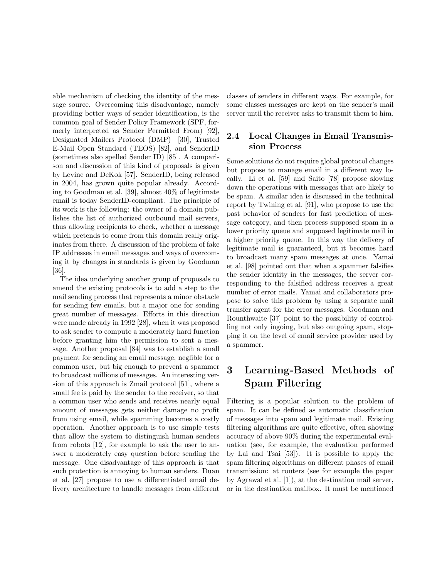able mechanism of checking the identity of the message source. Overcoming this disadvantage, namely providing better ways of sender identification, is the common goal of Sender Policy Framework (SPF, formerly interpreted as Sender Permitted From) [92], Designated Mailers Protocol (DMP) [30], Trusted E-Mail Open Standard (TEOS) [82], and SenderID (sometimes also spelled Sender ID) [85]. A comparison and discussion of this kind of proposals is given by Levine and DeKok [57]. SenderID, being released in 2004, has grown quite popular already. According to Goodman et al. [39], almost 40% of legitimate email is today SenderID-compliant. The principle of its work is the following: the owner of a domain publishes the list of authorized outbound mail servers, thus allowing recipients to check, whether a message which pretends to come from this domain really originates from there. A discussion of the problem of fake IP addresses in email messages and ways of overcoming it by changes in standards is given by Goodman [36].

The idea underlying another group of proposals to amend the existing protocols is to add a step to the mail sending process that represents a minor obstacle for sending few emails, but a major one for sending great number of messages. Efforts in this direction were made already in 1992 [28], when it was proposed to ask sender to compute a moderately hard function before granting him the permission to sent a message. Another proposal [84] was to establish a small payment for sending an email message, neglible for a common user, but big enough to prevent a spammer to broadcast millions of messages. An interesting version of this approach is Zmail protocol [51], where a small fee is paid by the sender to the receiver, so that a common user who sends and receives nearly equal amount of messages gets neither damage no profit from using email, while spamming becomes a costly operation. Another approach is to use simple tests that allow the system to distinguish human senders from robots [12], for example to ask the user to answer a moderately easy question before sending the message. One disadvantage of this approach is that such protection is annoying to human senders. Duan et al. [27] propose to use a differentiated email delivery architecture to handle messages from different

classes of senders in different ways. For example, for some classes messages are kept on the sender's mail server until the receiver asks to transmit them to him.

### 2.4 Local Changes in Email Transmission Process

Some solutions do not require global protocol changes but propose to manage email in a different way locally. Li et al. [59] and Saito [78] propose slowing down the operations with messages that are likely to be spam. A similar idea is discussed in the technical report by Twining et al. [91], who propose to use the past behavior of senders for fast prediction of message category, and then process supposed spam in a lower priority queue and supposed legitimate mail in a higher priority queue. In this way the delivery of legitimate mail is guaranteed, but it becomes hard to broadcast many spam messages at once. Yamai et al. [98] pointed out that when a spammer falsifies the sender identity in the messages, the server corresponding to the falsified address receives a great number of error mails. Yamai and collaborators propose to solve this problem by using a separate mail transfer agent for the error messages. Goodman and Rounthwaite [37] point to the possibility of controlling not only ingoing, but also outgoing spam, stopping it on the level of email service provider used by a spammer.

# 3 Learning-Based Methods of Spam Filtering

Filtering is a popular solution to the problem of spam. It can be defined as automatic classification of messages into spam and legitimate mail. Existing filtering algorithms are quite effective, often showing accuracy of above 90% during the experimental evaluation (see, for example, the evaluation performed by Lai and Tsai [53]). It is possible to apply the spam filtering algorithms on different phases of email transmission: at routers (see for example the paper by Agrawal et al. [1]), at the destination mail server, or in the destination mailbox. It must be mentioned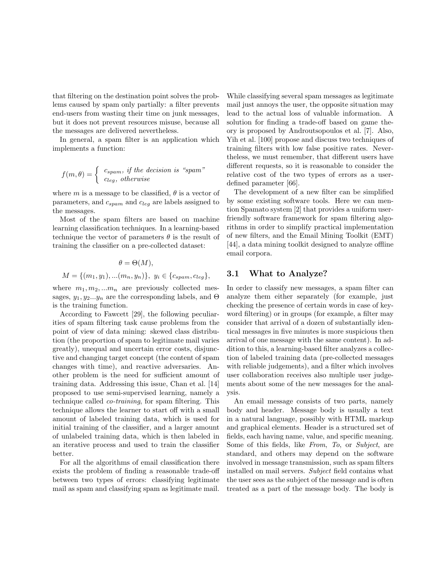that filtering on the destination point solves the problems caused by spam only partially: a filter prevents end-users from wasting their time on junk messages, but it does not prevent resources misuse, because all the messages are delivered nevertheless.

In general, a spam filter is an application which implements a function:

$$
f(m,\theta) = \begin{cases} c_{spam}, \text{ if the decision is "spam"} \\ c_{leg}, \text{ otherwise} \end{cases}
$$

where m is a message to be classified,  $\theta$  is a vector of parameters, and  $c_{spam}$  and  $c_{leg}$  are labels assigned to the messages.

Most of the spam filters are based on machine learning classification techniques. In a learning-based technique the vector of parameters  $\theta$  is the result of training the classifier on a pre-collected dataset:

$$
\theta = \Theta(M),
$$

$$
M = \{ (m_1, y_1), \ldots (m_n, y_n) \}, \ y_i \in \{c_{spam}, c_{leg} \},
$$

where  $m_1, m_2, \ldots, m_n$  are previously collected messages,  $y_1, y_2...y_n$  are the corresponding labels, and  $\Theta$ is the training function.

According to Fawcett [29], the following peculiarities of spam filtering task cause problems from the point of view of data mining: skewed class distribution (the proportion of spam to legitimate mail varies greatly), unequal and uncertain error costs, disjunctive and changing target concept (the content of spam changes with time), and reactive adversaries. Another problem is the need for sufficient amount of training data. Addressing this issue, Chan et al. [14] proposed to use semi-supervised learning, namely a technique called co-training, for spam filtering. This technique allows the learner to start off with a small amount of labeled training data, which is used for initial training of the classifier, and a larger amount of unlabeled training data, which is then labeled in an iterative process and used to train the classifier better.

For all the algorithms of email classification there exists the problem of finding a reasonable trade-off between two types of errors: classifying legitimate mail as spam and classifying spam as legitimate mail.

While classifying several spam messages as legitimate mail just annoys the user, the opposite situation may lead to the actual loss of valuable information. A solution for finding a trade-off based on game theory is proposed by Androutsopoulos et al. [7]. Also, Yih et al. [100] propose and discuss two techniques of training filters with low false positive rates. Nevertheless, we must remember, that different users have different requests, so it is reasonable to consider the relative cost of the two types of errors as a userdefined parameter [66].

The development of a new filter can be simplified by some existing software tools. Here we can mention Spamato system [2] that provides a uniform userfriendly software framework for spam filtering algorithms in order to simplify practical implementation of new filters, and the Email Mining Toolkit (EMT) [44], a data mining toolkit designed to analyze offline email corpora.

#### 3.1 What to Analyze?

In order to classify new messages, a spam filter can analyze them either separately (for example, just checking the presence of certain words in case of keyword filtering) or in groups (for example, a filter may consider that arrival of a dozen of substantially identical messages in five minutes is more suspicious then arrival of one message with the same content). In addition to this, a learning-based filter analyzes a collection of labeled training data (pre-collected messages with reliable judgements), and a filter which involves user collaboration receives also multiple user judgements about some of the new messages for the analysis.

An email message consists of two parts, namely body and header. Message body is usually a text in a natural language, possibly with HTML markup and graphical elements. Header is a structured set of fields, each having name, value, and specific meaning. Some of this fields, like From, To, or Subject, are standard, and others may depend on the software involved in message transmission, such as spam filters installed on mail servers. Subject field contains what the user sees as the subject of the message and is often treated as a part of the message body. The body is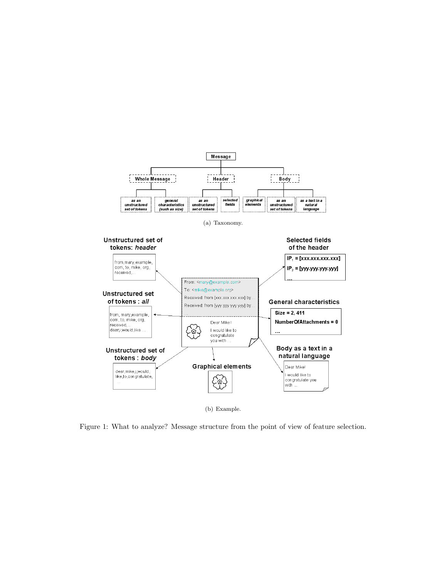

(b) Example.

Figure 1: What to analyze? Message structure from the point of view of feature selection.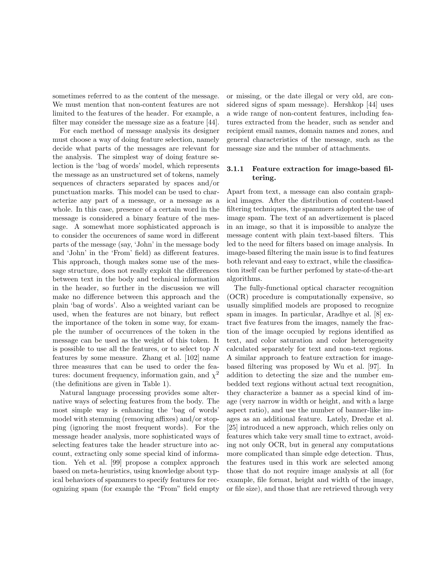sometimes referred to as the content of the message. We must mention that non-content features are not limited to the features of the header. For example, a filter may consider the message size as a feature [44].

For each method of message analysis its designer must choose a way of doing feature selection, namely decide what parts of the messages are relevant for the analysis. The simplest way of doing feature selection is the 'bag of words' model, which represents the message as an unstructured set of tokens, namely sequences of chracters separated by spaces and/or punctuation marks. This model can be used to characterize any part of a message, or a message as a whole. In this case, presence of a certain word in the message is considered a binary feature of the message. A somewhat more sophisticated approach is to consider the occurences of same word in different parts of the message (say, 'John' in the message body and 'John' in the 'From' field) as different features. This approach, though makes some use of the message structure, does not really exploit the differences between text in the body and technical information in the header, so further in the discussion we will make no difference between this approach and the plain 'bag of words'. Also a weighted variant can be used, when the features are not binary, but reflect the importance of the token in some way, for example the number of occurrences of the token in the message can be used as the weight of this token. It is possible to use all the features, or to select top  $N$ features by some measure. Zhang et al. [102] name three measures that can be used to order the features: document frequency, information gain, and  $\chi^2$ (the definitions are given in Table 1).

Natural language processing provides some alternative ways of selecting features from the body. The most simple way is enhancing the 'bag of words' model with stemming (removing affixes) and/or stopping (ignoring the most frequent words). For the message header analysis, more sophisticated ways of selecting features take the header structure into account, extracting only some special kind of information. Yeh et al. [99] propose a complex approach based on meta-heuristics, using knowledge about typical behaviors of spammers to specify features for recognizing spam (for example the "From" field empty

or missing, or the date illegal or very old, are considered signs of spam message). Hershkop [44] uses a wide range of non-content features, including features extracted from the header, such as sender and recipient email names, domain names and zones, and general characteristics of the message, such as the message size and the number of attachments.

#### 3.1.1 Feature extraction for image-based filtering.

Apart from text, a message can also contain graphical images. After the distribution of content-based filtering techniques, the spammers adopted the use of image spam. The text of an advertizement is placed in an image, so that it is impossible to analyze the message content with plain text-based filters. This led to the need for filters based on image analysis. In image-based filtering the main issue is to find features both relevant and easy to extract, while the classification itself can be further perfomed by state-of-the-art algorithms.

The fully-functional optical character recognition (OCR) procedure is computationally expensive, so usually simplified models are proposed to recognize spam in images. In particular, Aradhye et al. [8] extract five features from the images, namely the fraction of the image occupied by regions identified as text, and color saturation and color heterogeneity calculated separately for text and non-text regions. A similar approach to feature extraction for imagebased filtering was proposed by Wu et al. [97]. In addition to detecting the size and the number embedded text regions without actual text recognition, they characterize a banner as a special kind of image (very narrow in width or height, and with a large aspect ratio), and use the number of banner-like images as an additional feature. Lately, Dredze et al. [25] introduced a new approach, which relies only on features which take very small time to extract, avoiding not only OCR, but in general any computations more complicated than simple edge detection. Thus, the features used in this work are selected among those that do not require image analysis at all (for example, file format, height and width of the image, or file size), and those that are retrieved through very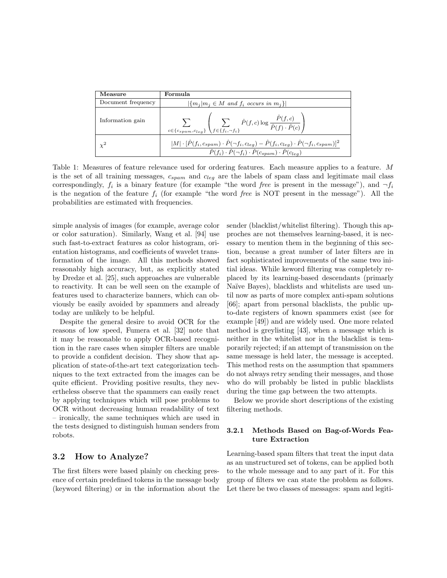| Measure            | Formula                                                                                                                                                                                                                               |
|--------------------|---------------------------------------------------------------------------------------------------------------------------------------------------------------------------------------------------------------------------------------|
| Document frequency | $ \{m_i m_i \in M \text{ and } f_i \text{ occurs in } m_i\} $                                                                                                                                                                         |
| Information gain   | $\sum_{c \in \{c_{spam}, c_{leg}\}} \left(\sum_{f \in \{f_i, \neg f_i\}} \hat{P}(f, c) \log \frac{\hat{P}(f, c)}{\hat{P}(f) \cdot \hat{P}(c)}\right)$                                                                                 |
| $\chi^2$           | $ M  \cdot [\hat{P}(f_i, c_{spam}) \cdot \hat{P}(\neg f_i, c_{leg}) - \hat{P}(f_i, c_{leg}) \cdot \hat{P}(\neg f_i, c_{spam})]^2$<br>$\overline{\hat{P}(f_i) \cdot \hat{P}(\neg f_i) \cdot \hat{P}(c_{spam}) \cdot \hat{P}(c_{leg})}$ |

Table 1: Measures of feature relevance used for ordering features. Each measure applies to a feature. M is the set of all training messages,  $c_{spam}$  and  $c_{leg}$  are the labels of spam class and legitimate mail class correspondingly,  $f_i$  is a binary feature (for example "the word free is present in the message"), and  $\neg f_i$ is the negation of the feature  $f_i$  (for example "the word *free* is NOT present in the message"). All the probabilities are estimated with frequencies.

simple analysis of images (for example, average color or color saturation). Similarly, Wang et al. [94] use such fast-to-extract features as color histogram, orientation histograms, and coefficients of wavelet transformation of the image. All this methods showed reasonably high accuracy, but, as explicitly stated by Dredze et al. [25], such approaches are vulnerable to reactivity. It can be well seen on the example of features used to characterize banners, which can obviously be easily avoided by spammers and already today are unlikely to be helpful.

Despite the general desire to avoid OCR for the reasons of low speed, Fumera et al. [32] note that it may be reasonable to apply OCR-based recognition in the rare cases when simpler filters are unable to provide a confident decision. They show that application of state-of-the-art text categorization techniques to the text extracted from the images can be quite efficient. Providing positive results, they nevertheless observe that the spammers can easily react by applying techniques which will pose problems to OCR without decreasing human readability of text – ironically, the same techniques which are used in the tests designed to distinguish human senders from robots.

#### 3.2 How to Analyze?

The first filters were based plainly on checking presence of certain predefined tokens in the message body (keyword filtering) or in the information about the sender (blacklist/whitelist filtering). Though this approches are not themselves learning-based, it is necessary to mention them in the beginning of this section, because a great number of later filters are in fact sophisticated improvements of the same two initial ideas. While keword filtering was completely replaced by its learning-based descendants (primarly Naïve Bayes), blacklists and whitelists are used until now as parts of more complex anti-spam solutions [66]; apart from personal blacklists, the public upto-date registers of known spammers exist (see for example [49]) and are widely used. One more related method is greylisting [43], when a message which is neither in the whitelist nor in the blacklist is temporarily rejected; if an attempt of transmission on the same message is held later, the message is accepted. This method rests on the assumption that spammers do not always retry sending their messages, and those who do will probably be listed in public blacklists during the time gap between the two attempts.

Below we provide short descriptions of the existing filtering methods.

#### 3.2.1 Methods Based on Bag-of-Words Feature Extraction

Learning-based spam filters that treat the input data as an unstructured set of tokens, can be applied both to the whole message and to any part of it. For this group of filters we can state the problem as follows. Let there be two classes of messages: spam and legiti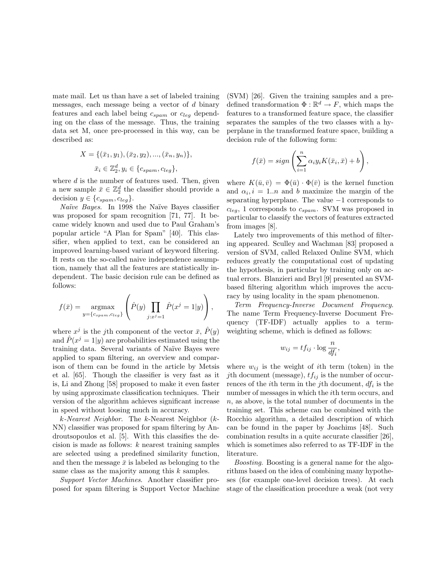mate mail. Let us than have a set of labeled training messages, each message being a vector of d binary features and each label being  $c_{spam}$  or  $c_{leg}$  depending on the class of the message. Thus, the training data set M, once pre-processed in this way, can be described as:

$$
X = \{ (\bar{x}_1, y_1), (\bar{x}_2, y_2), ..., (\bar{x}_n, y_n) \},
$$
  

$$
\bar{x}_i \in \mathbb{Z}_2^d, y_i \in \{c_{spam}, c_{leg} \},
$$

where  $d$  is the number of features used. Then, given a new sample  $\bar{x} \in \mathbb{Z}_2^d$  the classifier should provide a decision  $y \in \{c_{spam}, c_{leg}\}.$ 

Naïve Bayes. In 1998 the Naïve Bayes classifier was proposed for spam recognition [71, 77]. It became widely known and used due to Paul Graham's popular article "A Plan for Spam" [40]. This classifier, when applied to text, can be considered an improved learning-based variant of keyword filtering. It rests on the so-called naive independence assumption, namely that all the features are statistically independent. The basic decision rule can be defined as follows:

$$
f(\bar{x}) = \underset{y = \{c_{span}, c_{leg}\}}{\operatorname{argmax}} \left( \hat{P}(y) \prod_{j:x^j=1} \hat{P}(x^j = 1|y) \right),
$$

where  $x^j$  is the jth component of the vector  $\bar{x}$ ,  $\hat{P}(y)$ and  $\hat{P}(x^j = 1|y)$  are probabilities estimated using the training data. Several variants of Na¨ıve Bayes were applied to spam filtering, an overview and comparison of them can be found in the article by Metsis et al. [65]. Though the classifier is very fast as it is, Li and Zhong [58] proposed to make it even faster by using approximate classification techniques. Their version of the algorithm achieves significant increase in speed without loosing much in accuracy.

k-Nearest Neighbor. The k-Nearest Neighbor (k-NN) classifier was proposed for spam filtering by Androutsopoulos et al. [5]. With this classifies the decision is made as follows:  $k$  nearest training samples are selected using a predefined similarity function, and then the message  $\bar{x}$  is labeled as belonging to the same class as the majority among this k samples.

Support Vector Machines. Another classifier proposed for spam filtering is Support Vector Machine (SVM) [26]. Given the training samples and a predefined transformation  $\Phi : \mathbb{R}^d \to F$ , which maps the features to a transformed feature space, the classifier separates the samples of the two classes with a hyperplane in the transformed feature space, building a decision rule of the following form:

$$
f(\bar{x}) = sign\left(\sum_{i=1}^{n} \alpha_i y_i K(\bar{x}_i, \bar{x}) + b\right),
$$

where  $K(\bar{u}, \bar{v}) = \Phi(\bar{u}) \cdot \Phi(\bar{v})$  is the kernel function and  $\alpha_i, i = 1..n$  and b maximize the margin of the separating hyperplane. The value −1 corresponds to  $c_{leg}$ , 1 corresponds to  $c_{spam}$ . SVM was proposed in particular to classify the vectors of features extracted from images [8].

Lately two improvements of this method of filtering appeared. Sculley and Wachman [83] proposed a version of SVM, called Relaxed Online SVM, which reduces greatly the computational cost of updating the hypothesis, in particular by training only on actual errors. Blanzieri and Bryl [9] presented an SVMbased filtering algorithm which improves the accuracy by using locality in the spam phenomenon.

Term Frequency-Inverse Document Frequency. The name Term Frequency-Inverse Document Frequency (TF-IDF) actually applies to a termweighting scheme, which is defined as follows:

$$
w_{ij} = tf_{ij} \cdot \log \frac{n}{df_i},
$$

where  $w_{ij}$  is the weight of ith term (token) in the jth document (message),  $tf_{ij}$  is the number of occurrences of the *i*<sup>th</sup> term in the *j*<sup>th</sup> document,  $df_i$  is the number of messages in which the *i*th term occurs, and n, as above, is the total number of documents in the training set. This scheme can be combined with the Rocchio algorithm, a detailed description of which can be found in the paper by Joachims [48]. Such combination results in a quite accurate classifier [26], which is sometimes also referred to as TF-IDF in the literature.

Boosting. Boosting is a general name for the algorithms based on the idea of combining many hypotheses (for example one-level decision trees). At each stage of the classification procedure a weak (not very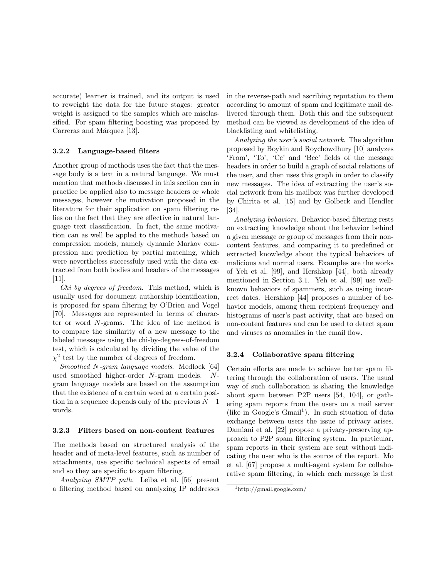accurate) learner is trained, and its output is used to reweight the data for the future stages: greater weight is assigned to the samples which are misclassified. For spam filtering boosting was proposed by Carreras and Márquez [13].

#### 3.2.2 Language-based filters

Another group of methods uses the fact that the message body is a text in a natural language. We must mention that methods discussed in this section can in practice be applied also to message headers or whole messages, however the motivation proposed in the literature for their application on spam filtering relies on the fact that they are effective in natural language text classification. In fact, the same motivation can as well be appled to the methods based on compression models, namely dynamic Markov compression and prediction by partial matching, which were nevertheless successfuly used with the data extracted from both bodies and headers of the messages [11].

Chi by degrees of freedom. This method, which is usually used for document authorship identification, is proposed for spam filtering by O'Brien and Vogel [70]. Messages are represented in terms of character or word N-grams. The idea of the method is to compare the similarity of a new message to the labeled messages using the chi-by-degrees-of-freedom test, which is calculated by dividing the value of the  $\chi^2$  test by the number of degrees of freedom.

Smoothed N-gram language models. Medlock [64] used smoothed higher-order N-gram models. Ngram language models are based on the assumption that the existence of a certain word at a certain position in a sequence depends only of the previous  $N-1$ words.

#### 3.2.3 Filters based on non-content features

The methods based on structured analysis of the header and of meta-level features, such as number of attachments, use specific technical aspects of email and so they are specific to spam filtering.

Analyzing SMTP path. Leiba et al. [56] present a filtering method based on analyzing IP addresses in the reverse-path and ascribing reputation to them according to amount of spam and legitimate mail delivered through them. Both this and the subsequent method can be viewed as development of the idea of blacklisting and whitelisting.

Analyzing the user's social network. The algorithm proposed by Boykin and Roychowdhury [10] analyzes 'From', 'To', 'Cc' and 'Bcc' fields of the message headers in order to build a graph of social relations of the user, and then uses this graph in order to classify new messages. The idea of extracting the user's social network from his mailbox was further developed by Chirita et al. [15] and by Golbeck and Hendler [34].

Analyzing behaviors. Behavior-based filtering rests on extracting knowledge about the behavior behind a given message or group of messages from their noncontent features, and comparing it to predefined or extracted knowledge about the typical behaviors of malicious and normal users. Examples are the works of Yeh et al. [99], and Hershkop [44], both already mentioned in Section 3.1. Yeh et al. [99] use wellknown behaviors of spammers, such as using incorrect dates. Hershkop [44] proposes a number of behavior models, among them recipient frequency and histograms of user's past activity, that are based on non-content features and can be used to detect spam and viruses as anomalies in the email flow.

#### 3.2.4 Collaborative spam filtering

Certain efforts are made to achieve better spam filtering through the collaboration of users. The usual way of such collaboration is sharing the knowledge about spam between P2P users [54, 104], or gathering spam reports from the users on a mail server  $(like in Google's Gamail<sup>1</sup>)$ . In such situation of data exchange between users the issue of privacy arises. Damiani et al. [22] propose a privacy-preserving approach to P2P spam filtering system. In particular, spam reports in their system are sent without indicating the user who is the source of the report. Mo et al. [67] propose a multi-agent system for collaborative spam filtering, in which each message is first

<sup>1</sup>http://gmail.google.com/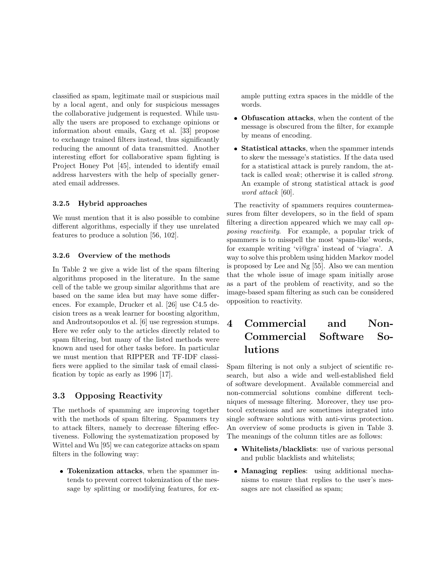classified as spam, legitimate mail or suspicious mail by a local agent, and only for suspicious messages the collaborative judgement is requested. While usually the users are proposed to exchange opinions or information about emails, Garg et al. [33] propose to exchange trained filters instead, thus significantly reducing the amount of data transmitted. Another interesting effort for collaborative spam fighting is Project Honey Pot [45], intended to identify email address harvesters with the help of specially generated email addresses.

#### 3.2.5 Hybrid approaches

We must mention that it is also possible to combine different algorithms, especially if they use unrelated features to produce a solution [56, 102].

#### 3.2.6 Overview of the methods

In Table 2 we give a wide list of the spam filtering algorithms proposed in the literature. In the same cell of the table we group similar algorithms that are based on the same idea but may have some differences. For example, Drucker et al. [26] use C4.5 decision trees as a weak learner for boosting algorithm, and Androutsopoulos et al. [6] use regression stumps. Here we refer only to the articles directly related to spam filtering, but many of the listed methods were known and used for other tasks before. In particular we must mention that RIPPER and TF-IDF classifiers were applied to the similar task of email classification by topic as early as 1996 [17].

### 3.3 Opposing Reactivity

The methods of spamming are improving together with the methods of spam filtering. Spammers try to attack filters, namely to decrease filtering effectiveness. Following the systematization proposed by Wittel and Wu [95] we can categorize attacks on spam filters in the following way:

 Tokenization attacks, when the spammer intends to prevent correct tokenization of the message by splitting or modifying features, for example putting extra spaces in the middle of the words.

- Obfuscation attacks, when the content of the message is obscured from the filter, for example by means of encoding.
- Statistical attacks, when the spammer intends to skew the message's statistics. If the data used for a statistical attack is purely random, the attack is called weak; otherwise it is called strong. An example of strong statistical attack is good word attack [60].

The reactivity of spammers requires countermeasures from filter developers, so in the field of spam filtering a direction appeared which we may call opposing reactivity. For example, a popular trick of spammers is to misspell the most 'spam-like' words, for example writing 'vi@gra' instead of 'viagra'. A way to solve this problem using hidden Markov model is proposed by Lee and Ng [55]. Also we can mention that the whole issue of image spam initially arose as a part of the problem of reactivity, and so the image-based spam filtering as such can be considered opposition to reactivity.

# 4 Commercial and Non-Commercial Software Solutions

Spam filtering is not only a subject of scientific research, but also a wide and well-established field of software development. Available commercial and non-commercial solutions combine different techniques of message filtering. Moreover, they use protocol extensions and are sometimes integrated into single software solutions with anti-virus protection. An overview of some products is given in Table 3. The meanings of the column titles are as follows:

- Whitelists/blacklists: use of various personal and public blacklists and whitelists;
- Managing replies: using additional mechanisms to ensure that replies to the user's messages are not classified as spam;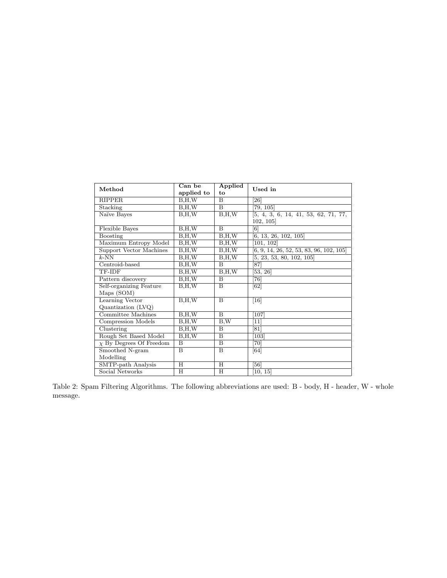| Method                         | Can be<br>applied to | Applied<br>to      | Used in                                    |  |  |  |
|--------------------------------|----------------------|--------------------|--------------------------------------------|--|--|--|
| <b>RIPPER</b>                  | B,H,W                | B                  | $\left[ 26\right]$                         |  |  |  |
| Stacking                       | B,H,W                | B                  | [79, 105]                                  |  |  |  |
| Naïve Bayes                    | $B,\overline{H,W}$   | B,H,W              | [5, 4, 3, 6, 14, 41, 53, 62, 71, 77,       |  |  |  |
|                                |                      |                    | 102, 105                                   |  |  |  |
| <b>Flexible Bayes</b>          | B,H,W                | B                  | $\lceil 6 \rceil$                          |  |  |  |
| Boosting                       | B,H,W                | B,H,W              | [6, 13, 26, 102, 105]                      |  |  |  |
| Maximum Entropy Model          | B.H.W                | B,H,W              | [101, 102]                                 |  |  |  |
| <b>Support Vector Machines</b> | B,H,W                | B,H,W              | $[6, 9, 14, 26, 52, 53, 83, 96, 102, 105]$ |  |  |  |
| $k$ -NN                        | B.H.W                | B,H,W              | [5, 23, 53, 80, 102, 105]                  |  |  |  |
| Centroid-based                 | B,H,W                | B                  | [87]                                       |  |  |  |
| TF-IDF                         | $B,H,\overline{W}$   | $B,\overline{H,W}$ | [53, 26]                                   |  |  |  |
| Pattern discovery              | B,H,W                | B                  | [76]                                       |  |  |  |
| Self-organizing Feature        | B.H.W                | $\overline{B}$     | $\sqrt{62}$                                |  |  |  |
| Maps (SOM)                     |                      |                    |                                            |  |  |  |
| Learning Vector                | B.H.W                | $\overline{B}$     | $\overline{16}$                            |  |  |  |
| Quantization (LVQ)             |                      |                    |                                            |  |  |  |
| Committee Machines             | B.H.W                | B                  | [107]                                      |  |  |  |
| Compression Models             | B,H,W                | B,W                | $[11]$                                     |  |  |  |
| Clustering                     | B,H,W                | B                  | [81]                                       |  |  |  |
| Rough Set Based Model          | B,H,W                | $\overline{B}$     | [103]                                      |  |  |  |
| $\chi$ By Degrees Of Freedom   | $\overline{B}$       | B                  | [70]                                       |  |  |  |
| Smoothed N-gram                | B                    | B                  | [64]                                       |  |  |  |
| Modelling                      |                      |                    |                                            |  |  |  |
| SMTP-path Analysis             | $\overline{H}$       | $\overline{H}$     | $\overline{56}$                            |  |  |  |
| Social Networks                | Η                    | H                  | [10, 15]                                   |  |  |  |

Table 2: Spam Filtering Algorithms. The following abbreviations are used: B - body, H - header, W - whole message.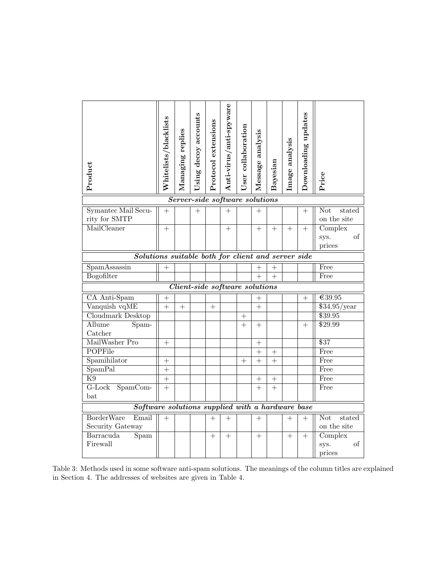| Product                                             | Whitelists/blacklists | Managing replies | Using decoy accounts | Protocol extensions | Anti-virus/anti-spyware               | User collaboration | Message analysis   | Bayesian  | Image analysis | updates<br>Downloading | Price                                    |
|-----------------------------------------------------|-----------------------|------------------|----------------------|---------------------|---------------------------------------|--------------------|--------------------|-----------|----------------|------------------------|------------------------------------------|
|                                                     |                       |                  |                      |                     | Server-side software solutions        |                    |                    |           |                |                        |                                          |
| Symantec Mail Secu-<br>rity for SMTP<br>MailCleaner | $+$                   |                  | $^{+}$               |                     | $^{+}$                                |                    | $^{+}$             |           |                | $+$                    | <b>Not</b><br>stated<br>on the site      |
|                                                     | $\ddot{}$             |                  |                      |                     | $+$                                   |                    | $+$                | $^{+}$    | $^{+}$         | $+$                    | Complex<br>of<br>sys.<br>prices          |
| Solutions suitable both for client and server side  |                       |                  |                      |                     |                                       |                    |                    |           |                |                        |                                          |
| SpamAssassin                                        | $^{+}$                |                  |                      |                     |                                       |                    | $^{+}$             | $^{+}$    |                |                        | Free                                     |
| Bogofilter                                          |                       |                  |                      |                     |                                       |                    | $+$                | $+$       |                |                        | Free                                     |
|                                                     |                       |                  |                      |                     | <b>Client-side software solutions</b> |                    |                    |           |                |                        |                                          |
| CA Anti-Spam                                        | $\hspace{0.1mm} +$    |                  |                      |                     |                                       |                    | $\hspace{0.1mm} +$ |           |                | $^{+}$                 | $\overline{\epsilon 39.95}$              |
| Vanquish vqME                                       | $^{+}$                | $+$              |                      | $^{+}$              |                                       |                    | $^{+}$             |           |                |                        | \$34.95/year                             |
| Cloudmark Desktop                                   |                       |                  |                      |                     |                                       | $^{+}$             |                    |           |                |                        | \$39.95                                  |
| Allume<br>Spam<br>Catcher                           |                       |                  |                      |                     |                                       | $+$                | $+$                |           |                | $^{+}$                 | \$29.99                                  |
| MailWasher Pro                                      | $\ddot{}$             |                  |                      |                     |                                       |                    | $+$                |           |                |                        | $\overline{$37}$                         |
| POPFile                                             |                       |                  |                      |                     |                                       |                    | $\ddot{}$          |           |                |                        | Free                                     |
| Spamihilator                                        | $^{+}$                |                  |                      |                     |                                       | $+$                | $+$                | $+$       |                |                        | Free                                     |
| $S\overline{\text{pamPal}}$                         | $^{+}$                |                  |                      |                     |                                       |                    |                    |           |                |                        | Free                                     |
| K9                                                  | $\overline{+}$        |                  |                      |                     |                                       |                    | $^{+}$             | $\! + \!$ |                |                        | Free                                     |
| $SpamCom-$<br>G-Lock<br>bat                         | $\ddot{}$             |                  |                      |                     |                                       |                    | $+$                | $^{+}$    |                |                        | Free                                     |
| Software solutions supplied with a hardware base    |                       |                  |                      |                     |                                       |                    |                    |           |                |                        |                                          |
| <b>BorderWare</b><br>Email<br>Security Gateway      | $+$                   |                  |                      | $+$                 | $+$                                   |                    | $+$                |           | $^{+}$         | $+$                    | stated<br>Not<br>on the site             |
| Barracuda<br>Spam<br>Firewall                       |                       |                  |                      | $+$                 | $^{+}$                                |                    | $^{+}$             |           | $^{+}$         | $^{+}$                 | Complex<br>$_{\rm of}$<br>sys.<br>prices |

Table 3: Methods used in some software anti-spam solutions. The meanings of the column titles are explained in Section 4. The addresses of websites are given in Table 4.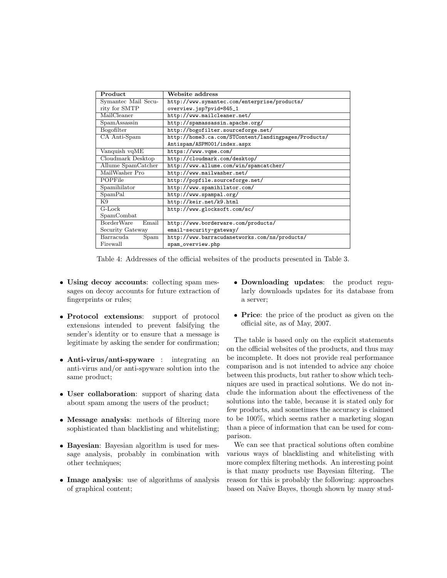| Product                    | Website address                                      |  |  |  |  |  |  |
|----------------------------|------------------------------------------------------|--|--|--|--|--|--|
| Symantec Mail Secu-        | http://www.symantec.com/enterprise/products/         |  |  |  |  |  |  |
| rity for SMTP              | overview.jsp?pvid=845_1                              |  |  |  |  |  |  |
| MailCleaner                | http://www.mailcleaner.net/                          |  |  |  |  |  |  |
| SpamAssassin               | http://spamassassin.apache.org/                      |  |  |  |  |  |  |
| Bogofilter                 | http://bogofilter.sourceforge.net/                   |  |  |  |  |  |  |
| CA Anti-Spam               | http://home3.ca.com/STContent/landingpages/Products/ |  |  |  |  |  |  |
|                            | Antispam/ASPM001/index.aspx                          |  |  |  |  |  |  |
| Vanquish vqME              | https://www.vqme.com/                                |  |  |  |  |  |  |
| Cloudmark Desktop          | http://cloudmark.com/desktop/                        |  |  |  |  |  |  |
| Allume SpamCatcher         | http://www.allume.com/win/spamcatcher/               |  |  |  |  |  |  |
| MailWasher Pro             | http://www.mailwasher.net/                           |  |  |  |  |  |  |
| POPFile                    | http://popfile.sourceforge.net/                      |  |  |  |  |  |  |
| Spamihilator               | http://www.spamihilator.com/                         |  |  |  |  |  |  |
| SpamPal                    | http://www.spampal.org/                              |  |  |  |  |  |  |
| K9                         | http://keir.net/k9.html                              |  |  |  |  |  |  |
| G-Lock                     | http://www.glocksoft.com/sc/                         |  |  |  |  |  |  |
| SpamCombat                 |                                                      |  |  |  |  |  |  |
| <b>BorderWare</b><br>Email | http://www.borderware.com/products/                  |  |  |  |  |  |  |
| Security Gateway           | email-security-gateway/                              |  |  |  |  |  |  |
| Barracuda<br>Spam          | http://www.barracudanetworks.com/ns/products/        |  |  |  |  |  |  |
| Firewall                   | spam_overview.php                                    |  |  |  |  |  |  |

Table 4: Addresses of the official websites of the products presented in Table 3.

- Using decoy accounts: collecting spam messages on decoy accounts for future extraction of fingerprints or rules;
- Protocol extensions: support of protocol extensions intended to prevent falsifying the sender's identity or to ensure that a message is legitimate by asking the sender for confirmation;
- Anti-virus/anti-spyware : integrating an anti-virus and/or anti-spyware solution into the same product;
- User collaboration: support of sharing data about spam among the users of the product;
- Message analysis: methods of filtering more sophisticated than blacklisting and whitelisting;
- Bayesian: Bayesian algorithm is used for message analysis, probably in combination with other techniques;
- Image analysis: use of algorithms of analysis of graphical content;
- Downloading updates: the product regularly downloads updates for its database from a server;
- Price: the price of the product as given on the official site, as of May, 2007.

The table is based only on the explicit statements on the official websites of the products, and thus may be incomplete. It does not provide real performance comparison and is not intended to advice any choice between this products, but rather to show which techniques are used in practical solutions. We do not include the information about the effectiveness of the solutions into the table, because it is stated only for few products, and sometimes the accuracy is claimed to be 100%, which seems rather a marketing slogan than a piece of information that can be used for comparison.

We can see that practical solutions often combine various ways of blacklisting and whitelisting with more complex filtering methods. An interesting point is that many products use Bayesian filtering. The reason for this is probably the following: approaches based on Na¨ıve Bayes, though shown by many stud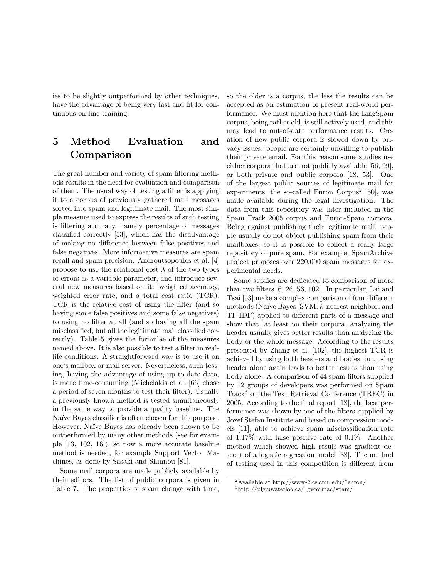ies to be slightly outperformed by other techniques, have the advantage of being very fast and fit for continuous on-line training.

# 5 Method Evaluation and Comparison

The great number and variety of spam filtering methods results in the need for evaluation and comparison of them. The usual way of testing a filter is applying it to a corpus of previously gathered mail messages sorted into spam and legitimate mail. The most simple measure used to express the results of such testing is filtering accuracy, namely percentage of messages classified correctly [53], which has the disadvantage of making no difference between false positives and false negatives. More informative measures are spam recall and spam precision. Androutsopoulos et al. [4] propose to use the relational cost  $\lambda$  of the two types of errors as a variable parameter, and introduce several new measures based on it: weighted accuracy, weighted error rate, and a total cost ratio (TCR). TCR is the relative cost of using the filter (and so having some false positives and some false negatives) to using no filter at all (and so having all the spam misclassified, but all the legitimate mail classified correctly). Table 5 gives the formulae of the measures named above. It is also possible to test a filter in reallife conditions. A straightforward way is to use it on one's mailbox or mail server. Nevertheless, such testing, having the advantage of using up-to-date data, is more time-consuming (Michelakis et al. [66] chose a period of seven months to test their filter). Usually a previously known method is tested simultaneously in the same way to provide a quality baseline. The Naïve Bayes classifier is often chosen for this purpose. However, Na¨ıve Bayes has already been shown to be outperformed by many other methods (see for example [13, 102, 16]), so now a more accurate baseline method is needed, for example Support Vector Machines, as done by Sasaki and Shinnou [81].

Some mail corpora are made publicly available by their editors. The list of public corpora is given in Table 7. The properties of spam change with time, so the older is a corpus, the less the results can be accepted as an estimation of present real-world performance. We must mention here that the LingSpam corpus, being rather old, is still actively used, and this may lead to out-of-date performance results. Creation of new public corpora is slowed down by privacy issues: people are certainly unwilling to publish their private email. For this reason some studies use either corpora that are not publicly available [56, 99], or both private and public corpora [18, 53]. One of the largest public sources of legitimate mail for experiments, the so-called Enron Corpus<sup>2</sup> [50], was made available during the legal investigation. The data from this repository was later included in the Spam Track 2005 corpus and Enron-Spam corpora. Being against publishing their legitimate mail, people usually do not object publishing spam from their mailboxes, so it is possible to collect a really large repository of pure spam. For example, SpamArchive project proposes over 220,000 spam messages for experimental needs.

Some studies are dedicated to comparison of more than two filters [6, 26, 53, 102]. In particular, Lai and Tsai [53] make a complex comparison of four different methods (Naïve Bayes, SVM, k-nearest neighbor, and TF-IDF) applied to different parts of a message and show that, at least on their corpora, analyzing the header usually gives better results than analyzing the body or the whole message. According to the results presented by Zhang et al. [102], the highest TCR is achieved by using both headers and bodies, but using header alone again leads to better results than using body alone. A comparison of 44 spam filters supplied by 12 groups of developers was performed on Spam Track<sup>3</sup> on the Text Retrieval Conference (TREC) in 2005. According to the final report [18], the best performance was shown by one of the filters supplied by Jožef Stefan Institute and based on compression models [11], able to achieve spam misclassification rate of 1.17% with false positive rate of 0.1%. Another method which showed high resuls was gradient descent of a logistic regression model [38]. The method of testing used in this competition is different from

<sup>2</sup>Available at http://www-2.cs.cmu.edu/˜enron/ <sup>3</sup>http://plg.uwaterloo.ca/˜gvcormac/spam/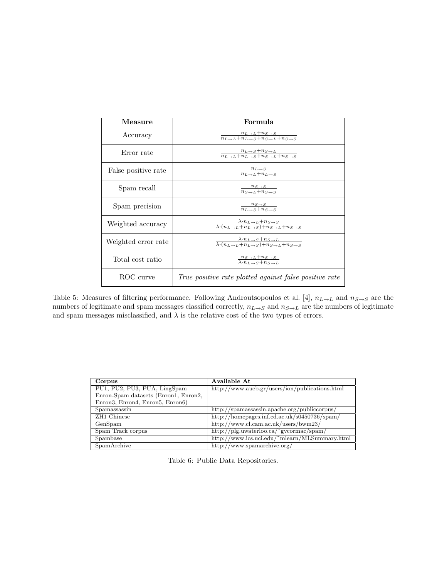| Measure             | Formula                                                                                                                                                           |
|---------------------|-------------------------------------------------------------------------------------------------------------------------------------------------------------------|
| Accuracy            | $\frac{n_{L\rightarrow L}+n_{S\rightarrow S}}{n_{L\rightarrow L}+n_{L\rightarrow S}+n_{S\rightarrow L}+n_{S\rightarrow S}}$                                       |
| Error rate          | $\frac{n_{L\rightarrow S}+n_{S\rightarrow L}}{n_{L\rightarrow L}+n_{L\rightarrow S}+n_{S\rightarrow L}+n_{S\rightarrow S}}$                                       |
| False positive rate | $\frac{n_{L\rightarrow S}}{n_{L\rightarrow L}+n_{L\rightarrow S}}$                                                                                                |
| Spam recall         | $\frac{n_{S\rightarrow S}}{n_{S\rightarrow I}+n_{S\rightarrow S}}$                                                                                                |
| Spam precision      | $\frac{n_{S\rightarrow S}}{n_{L\rightarrow S}+n_{S\rightarrow S}}$                                                                                                |
| Weighted accuracy   | $\frac{\lambda \cdot n_{L\rightarrow L} + n_{S\rightarrow S}}{\lambda \cdot (n_{L\rightarrow L} + n_{L\rightarrow S}) + n_{S\rightarrow L} + n_{S\rightarrow S}}$ |
| Weighted error rate | $\frac{\lambda \cdot n_{L\rightarrow S} + n_{S\rightarrow L}}{\lambda \cdot (n_{L\rightarrow L} + n_{L\rightarrow S}) + n_{S\rightarrow L} + n_{S\rightarrow S}}$ |
| Total cost ratio    | $\frac{n_{S\rightarrow L}+n_{S\rightarrow S}}{\lambda\cdot n_{L\rightarrow S}+n_{S\rightarrow L}}$                                                                |
| ROC curve           | True positive rate plotted against false positive rate                                                                                                            |

Table 5: Measures of filtering performance. Following Androutsopoulos et al. [4],  $n_{L\to L}$  and  $n_{S\to S}$  are the numbers of legitimate and spam messages classified correctly,  $n_{L\to S}$  and  $n_{S\to L}$  are the numbers of legitimate and spam messages misclassified, and  $\lambda$  is the relative cost of the two types of errors.

| Corpus                               | Available At                                   |
|--------------------------------------|------------------------------------------------|
| PU1, PU2, PU3, PUA, LingSpam         | http://www.aueb.gr/users/ion/publications.html |
| Enron-Spam datasets (Enron1, Enron2, |                                                |
| Enron3, Enron4, Enron5, Enron6)      |                                                |
| Spamassassin                         | http://spamassassin.apache.org/publiccorpus/   |
| ZH1 Chinese                          | http://homepages.inf.ed.ac.uk/s0450736/spam/   |
| GenSpam                              | http://www.cl.cam.ac.uk/users/bwm23/           |
| Spam Track corpus                    | http://plg.uwaterloo.ca/~gvcormac/spam/        |
| Spambase                             | http://www.ics.uci.edu/~mlearn/MLSummary.html  |
| SpamArchive                          | http://www.spamarchive.org/                    |

Table 6: Public Data Repositories.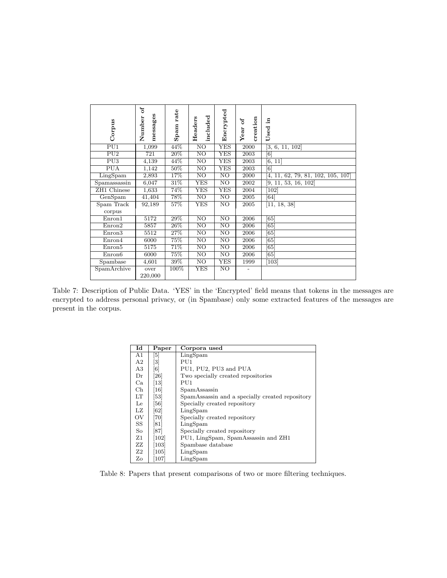| Corpus             | ಕ<br>messages<br>Number | rate<br>Spam      | included<br>Headers | Encrypted              | creation<br>ð<br>Year | щ.<br>Used                         |
|--------------------|-------------------------|-------------------|---------------------|------------------------|-----------------------|------------------------------------|
| PU1                | 1,099                   | 44%               | NO                  | <b>YES</b>             | 2000                  | [3, 6, 11, 102]                    |
| PU2                | 721                     | $20\%$            | NO                  | YES                    | 2003                  | $\overline{[6]}$                   |
| PU <sub>3</sub>    | 4,139                   | 44%               | NO                  | YES                    | 2003                  | $\overline{[6, 11]}$               |
| <b>PUA</b>         | 1,142                   | 50%               | NO                  | <b>YES</b>             | 2003                  | $\overline{6}$                     |
| LingSpam           | 2,893                   | 17%               | NO                  | NΟ                     | 2000                  | [4, 11, 62, 79, 81, 102, 105, 107] |
| Spamassassin       | 6,047                   | $31\%$            | <b>YES</b>          | $\overline{NO}$        | 2002                  | [9, 11, 53, 16, 102]               |
| ZH1 Chinese        | 1,633                   | 74%               | <b>YES</b>          | <b>YES</b>             | 2004                  | $[102]$                            |
| GenSpam            | 41,404                  | 78%               | NO                  | NO                     | 2005                  | [64]                               |
| Spam Track         | 92,189                  | 57%               | <b>YES</b>          | $\overline{NO}$        | 2005                  | [11, 18, 38]                       |
| corpus             |                         |                   |                     |                        |                       |                                    |
| Enron1             | 5172                    | 29%               | N <sub>O</sub>      | NO                     | 2006                  | [65]                               |
| Enron2             | 5857                    | $26\%$            | $\overline{NO}$     | $\overline{NO}$        | 2006                  | $\overline{65}$                    |
| Enron3             | 5512                    | $\overline{27\%}$ | $\overline{NO}$     | $\overline{\text{NO}}$ | 2006                  | $\overline{65}$                    |
| Enron4             | 6000                    | 75%               | NO                  | NO                     | 2006                  | [65]                               |
| Enron5             | 5175                    | 71%               | NO.                 | NO                     | 2006                  | $\overline{65}$                    |
| Enron <sub>6</sub> | 6000                    | 75%               | NO.                 | NO                     | 2006                  | [65]                               |
| Spambase           | 4,601                   | 39%               | NO                  | <b>YES</b>             | 1999                  | $\left[103\right]$                 |
| SpamArchive        | over                    | 100%              | <b>YES</b>          | NO.                    |                       |                                    |
|                    | 220,000                 |                   |                     |                        |                       |                                    |

Table 7: Description of Public Data. 'YES' in the 'Encrypted' field means that tokens in the messages are encrypted to address personal privacy, or (in Spambase) only some extracted features of the messages are present in the corpus.

| Id             | Paper              | Corpora used                                    |
|----------------|--------------------|-------------------------------------------------|
| A <sub>1</sub> | 51                 | LingSpam                                        |
| A <sub>2</sub> | 31                 | PU1                                             |
| A3             | [6]                | PU1, PU2, PU3 and PUA                           |
| Dr             | 26                 | Two specially created repositories              |
| Ca             | 13                 | PU1                                             |
| $\rm Ch$       | 16                 | SpamAssassin                                    |
| LT             | 53                 | SpamAssassin and a specially created repository |
| Le             | 56                 | Specially created repository                    |
| LZ             | [62]               | LingSpam                                        |
| OV             | 70]                | Specially created repository                    |
| SS             | [81]               | LingSpam                                        |
| S <sub>o</sub> | [87]               | Specially created repository                    |
| Z1             | $\left[102\right]$ | PU1, LingSpam, SpamAssassin and ZH1             |
| ZZ.            | <b>103</b>         | Spambase database                               |
| Z <sub>2</sub> | <sup>105</sup>     | LingSpan                                        |
| Zo             | 1071               | LingSpam                                        |

Table 8: Papers that present comparisons of two or more filtering techniques.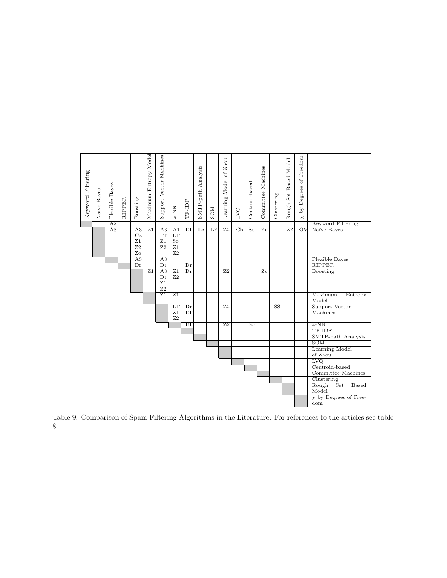

Table 9: Comparison of Spam Filtering Algorithms in the Literature. For references to the articles see table 8.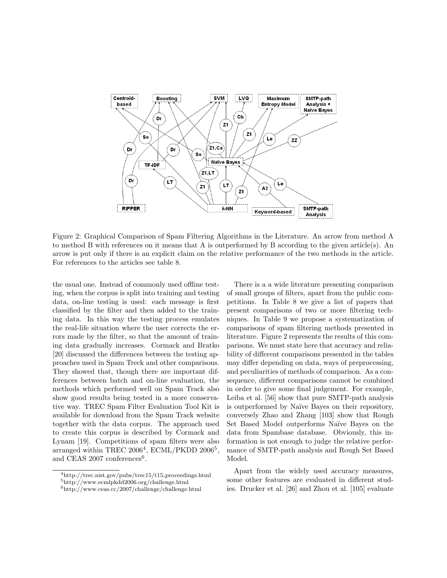

Figure 2: Graphical Comparison of Spam Filtering Algorithms in the Literature. An arrow from method A to method B with references on it means that A is outperformed by B according to the given article(s). An arrow is put only if there is an explicit claim on the relative performance of the two methods in the article. For references to the articles see table 8.

the usual one. Instead of commonly used offline testing, when the corpus is split into training and testing data, on-line testing is used: each message is first classified by the filter and then added to the training data. In this way the testing process emulates the real-life situation where the user corrects the errors made by the filter, so that the amount of training data gradually increases. Cormack and Bratko [20] discussed the differences between the testing approaches used in Spam Treck and other comparisons. They showed that, though there are important differences between batch and on-line evaluation, the methods which performed well on Spam Track also show good results being tested in a more conservative way. TREC Spam Filter Evaluation Tool Kit is available for download from the Spam Track website together with the data corpus. The approach used to create this corpus is described by Cormack and Lynam [19]. Competitions of spam filters were also arranged within TREC 2006<sup>4</sup>, ECML/PKDD 2006<sup>5</sup>, and CEAS 2007 conferences<sup>6</sup>.

There is a a wide literature presenting comparison of small groups of filters, apart from the public competitions. In Table 8 we give a list of papers that present comparisons of two or more filtering techniques. In Table 9 we propose a systematization of comparisons of spam filtering methods presented in literature. Figure 2 represents the results of this comparisons. We must state here that accuracy and reliability of different comparisons presented in the tables may differ depending on data, ways of preprocessing, and peculiarities of methods of comparison. As a consequence, different comparisons cannot be combined in order to give some final judgement. For example, Leiba et al. [56] show that pure SMTP-path analysis is outperformed by Naïve Bayes on their repository, conversely Zhao and Zhang [103] show that Rough Set Based Model outperforms Naïve Bayes on the data from Spambase database. Obviously, this information is not enough to judge the relative performance of SMTP-path analysis and Rough Set Based Model.

Apart from the widely used accuracy measures, some other features are evaluated in different studies. Drucker et al. [26] and Zhou et al. [105] evaluate

 $^4$ http://trec.nist.gov/pubs/trec15/t15\_proceedings.html <sup>5</sup>http://www.ecmlpkdd2006.org/challenge.html  $6$ http://www.ceas.cc/2007/challenge/challenge.html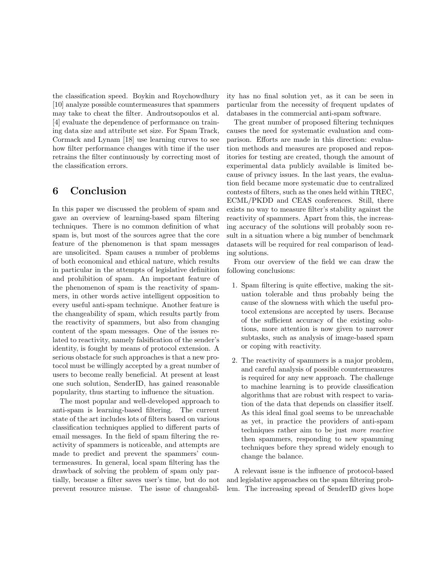the classification speed. Boykin and Roychowdhury [10] analyze possible countermeasures that spammers may take to cheat the filter. Androutsopoulos et al. [4] evaluate the dependence of performance on training data size and attribute set size. For Spam Track, Cormack and Lynam [18] use learning curves to see how filter performance changes with time if the user retrains the filter continuously by correcting most of the classification errors.

## 6 Conclusion

In this paper we discussed the problem of spam and gave an overview of learning-based spam filtering techniques. There is no common definition of what spam is, but most of the sources agree that the core feature of the phenomenon is that spam messages are unsolicited. Spam causes a number of problems of both economical and ethical nature, which results in particular in the attempts of legislative definition and prohibition of spam. An important feature of the phenomenon of spam is the reactivity of spammers, in other words active intelligent opposition to every useful anti-spam technique. Another feature is the changeability of spam, which results partly from the reactivity of spammers, but also from changing content of the spam messages. One of the issues related to reactivity, namely falsification of the sender's identity, is fought by means of protocol extension. A serious obstacle for such approaches is that a new protocol must be willingly accepted by a great number of users to become really beneficial. At present at least one such solution, SenderID, has gained reasonable popularity, thus starting to influence the situation.

The most popular and well-developed approach to anti-spam is learning-based filtering. The current state of the art includes lots of filters based on various classification techniques applied to different parts of email messages. In the field of spam filtering the reactivity of spammers is noticeable, and attempts are made to predict and prevent the spammers' countermeasures. In general, local spam filtering has the drawback of solving the problem of spam only partially, because a filter saves user's time, but do not prevent resource misuse. The issue of changeability has no final solution yet, as it can be seen in particular from the necessity of frequent updates of databases in the commercial anti-spam software.

The great number of proposed filtering techniques causes the need for systematic evaluation and comparison. Efforts are made in this direction: evaluation methods and measures are proposed and repositories for testing are created, though the amount of experimental data publicly available is limited because of privacy issues. In the last years, the evaluation field became more systematic due to centralized contests of filters, such as the ones held within TREC, ECML/PKDD and CEAS conferences. Still, there exists no way to measure filter's stability against the reactivity of spammers. Apart from this, the increasing accuracy of the solutions will probably soon result in a situation where a big number of benchmark datasets will be required for real comparison of leading solutions.

From our overview of the field we can draw the following conclusions:

- 1. Spam filtering is quite effective, making the situation tolerable and thus probably being the cause of the slowness with which the useful protocol extensions are accepted by users. Because of the sufficient accuracy of the existing solutions, more attention is now given to narrower subtasks, such as analysis of image-based spam or coping with reactivity.
- 2. The reactivity of spammers is a major problem, and careful analysis of possible countermeasures is required for any new approach. The challenge to machine learning is to provide classification algorithms that are robust with respect to variation of the data that depends on classifier itself. As this ideal final goal seems to be unreachable as yet, in practice the providers of anti-spam techniques rather aim to be just more reactive then spammers, responding to new spamming techniques before they spread widely enough to change the balance.

A relevant issue is the influence of protocol-based and legislative approaches on the spam filtering problem. The increasing spread of SenderID gives hope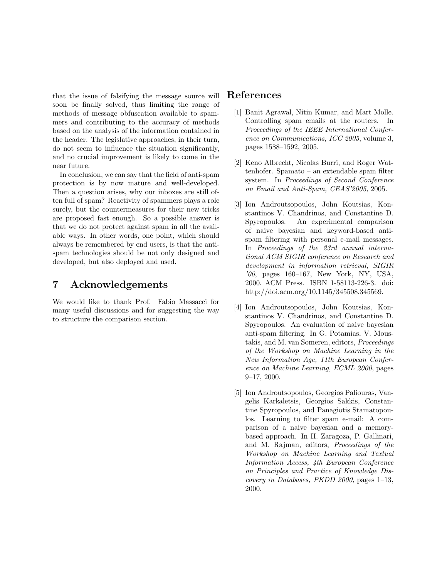that the issue of falsifying the message source will soon be finally solved, thus limiting the range of methods of message obfuscation available to spammers and contributing to the accuracy of methods based on the analysis of the information contained in the header. The legislative approaches, in their turn, do not seem to influence the situation significantly, and no crucial improvement is likely to come in the near future.

In conclusion, we can say that the field of anti-spam protection is by now mature and well-developed. Then a question arises, why our inboxes are still often full of spam? Reactivity of spammers plays a role surely, but the countermeasures for their new tricks are proposed fast enough. So a possible answer is that we do not protect against spam in all the available ways. In other words, one point, which should always be remembered by end users, is that the antispam technologies should be not only designed and developed, but also deployed and used.

# 7 Acknowledgements

We would like to thank Prof. Fabio Massacci for many useful discussions and for suggesting the way to structure the comparison section.

## References

- [1] Banit Agrawal, Nitin Kumar, and Mart Molle. Controlling spam emails at the routers. In Proceedings of the IEEE International Conference on Communications, ICC 2005, volume 3, pages 1588–1592, 2005.
- [2] Keno Albrecht, Nicolas Burri, and Roger Wattenhofer. Spamato – an extendable spam filter system. In Proceedings of Second Conference on Email and Anti-Spam, CEAS'2005, 2005.
- [3] Ion Androutsopoulos, John Koutsias, Konstantinos V. Chandrinos, and Constantine D. Spyropoulos. An experimental comparison of naive bayesian and keyword-based antispam filtering with personal e-mail messages. In Proceedings of the 23rd annual international ACM SIGIR conference on Research and development in information retrieval, SIGIR '00, pages 160–167, New York, NY, USA, 2000. ACM Press. ISBN 1-58113-226-3. doi: http://doi.acm.org/10.1145/345508.345569.
- [4] Ion Androutsopoulos, John Koutsias, Konstantinos V. Chandrinos, and Constantine D. Spyropoulos. An evaluation of naive bayesian anti-spam filtering. In G. Potamias, V. Moustakis, and M. van Someren, editors, Proceedings of the Workshop on Machine Learning in the New Information Age, 11th European Conference on Machine Learning, ECML 2000, pages 9–17, 2000.
- [5] Ion Androutsopoulos, Georgios Paliouras, Vangelis Karkaletsis, Georgios Sakkis, Constantine Spyropoulos, and Panagiotis Stamatopoulos. Learning to filter spam e-mail: A comparison of a naive bayesian and a memorybased approach. In H. Zaragoza, P. Gallinari, and M. Rajman, editors, Proceedings of the Workshop on Machine Learning and Textual Information Access, 4th European Conference on Principles and Practice of Knowledge Discovery in Databases, PKDD 2000, pages 1–13, 2000.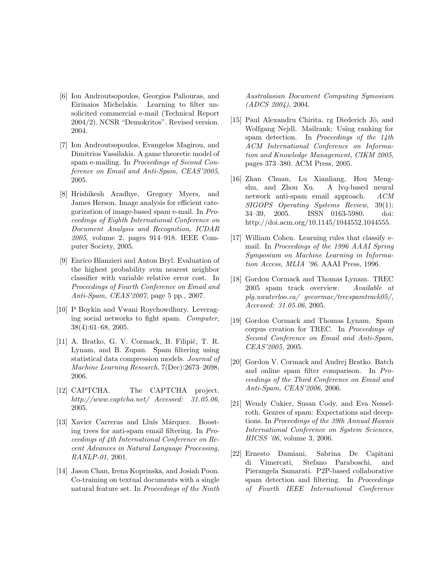- [6] Ion Androutsopoulos, Georgios Paliouras, and Eirinaios Michelakis. Learning to filter unsolicited commercial e-mail (Technical Report 2004/2). NCSR "Demokritos". Revised version. 2004.
- [7] Ion Androutsopoulos, Evangelos Magirou, and Dimitrios Vassilakis. A game theoretic model of spam e-mailing. In Proceedings of Second Conference on Email and Anti-Spam, CEAS'2005, 2005.
- [8] Hrishikesh Aradhye, Gregory Myers, and James Herson. Image analysis for efficient categorization of image-based spam e-mail. In Proceedings of Eighth International Conference on Document Analysis and Recognition, ICDAR 2005, volume 2, pages 914–918. IEEE Computer Society, 2005.
- [9] Enrico Blanzieri and Anton Bryl. Evaluation of the highest probability svm nearest neighbor classifier with variable relative error cost. In Proceedings of Fourth Conference on Email and Anti-Spam, CEAS'2007, page 5 pp., 2007.
- [10] P Boykin and Vwani Roychowdhury. Leveraging social networks to fight spam. Computer, 38(4):61–68, 2005.
- [11] A. Bratko, G. V. Cormack, B. Filipič, T. R. Lynam, and B. Zupan. Spam filtering using statistical data compression models. Journal of Machine Learning Research, 7(Dec):2673–2698, 2006.
- [12] CAPTCHA. The CAPTCHA project. http://www.captcha.net/ Accessed: 31.05.06, 2005.
- [13] Xavier Carreras and Lluís Márquez. Boosting trees for anti-spam email filtering. In Proceedings of 4th International Conference on Recent Advances in Natural Language Processing, RANLP-01, 2001.
- [14] Jason Chan, Irena Koprinska, and Josiah Poon. Co-training on textual documents with a single natural feature set. In Proceedings of the Ninth

Australasian Document Computing Symosium  $(ADCS 2004), 2004.$ 

- [15] Paul Alexandru Chirita, rg Diederich Jö, and Wolfgang Nejdl. Mailrank: Using ranking for spam detection. In Proceedings of the 14th ACM International Conference on Information and Knowledge Management, CIKM 2005, pages 373–380. ACM Press, 2005.
- [16] Zhan Chuan, Lu Xianliang, Hou Mengshu, and Zhou Xu. A lvq-based neural network anti-spam email approach. ACM SIGOPS Operating Systems Review, 39(1): 34–39, 2005. ISSN 0163-5980. doi: http://doi.acm.org/10.1145/1044552.1044555.
- [17] William Cohen. Learning rules that classify email. In Proceedings of the 1996 AAAI Spring Symposium on Machine Learning in Information Access, MLIA '96. AAAI Press, 1996.
- [18] Gordon Cormack and Thomas Lynam. TREC 2005 spam track overview. Available at plg.uwaterloo.ca/ gvcormac/trecspamtrack05/, Accessed: 31.05.06, 2005.
- [19] Gordon Cormack and Thomas Lynam. Spam corpus creation for TREC. In Proceedings of Second Conference on Email and Anti-Spam, CEAS'2005, 2005.
- [20] Gordon V. Cormack and Andrej Bratko. Batch and online spam filter comparison. In Proceedings of the Third Conference on Email and Anti-Spam, CEAS'2006, 2006.
- [21] Wendy Cukier, Susan Cody, and Eva Nesselroth. Genres of spam: Expectations and deceptions. In Proceedings of the 39th Annual Hawaii International Conference on System Sciences, HICSS '06, volume 3, 2006.
- [22] Ernesto Damiani, Sabrina De Capitani di Vimercati, Stefano Paraboschi, and Pierangela Samarati. P2P-based collaborative spam detection and filtering. In *Proceedings* of Fourth IEEE International Conference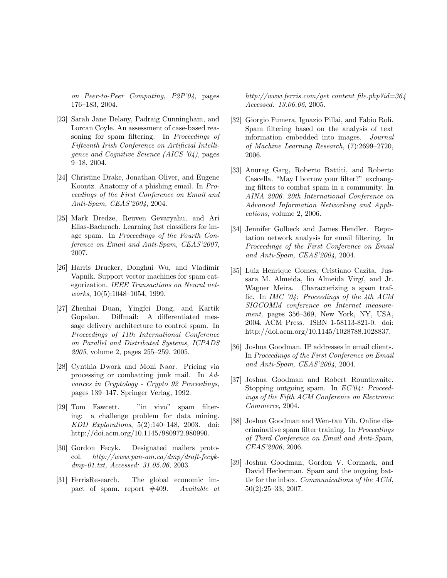on Peer-to-Peer Computing, P2P'04, pages 176–183, 2004.

- [23] Sarah Jane Delany, Padraig Cunningham, and Lorcan Coyle. An assessment of case-based reasoning for spam filtering. In Proceedings of Fifteenth Irish Conference on Artificial Intelligence and Cognitive Science (AICS '04), pages 9–18, 2004.
- [24] Christine Drake, Jonathan Oliver, and Eugene Koontz. Anatomy of a phishing email. In Proceedings of the First Conference on Email and Anti-Spam, CEAS'2004, 2004.
- [25] Mark Dredze, Reuven Gevaryahu, and Ari Elias-Bachrach. Learning fast classifiers for image spam. In Proceedings of the Fourth Conference on Email and Anti-Spam, CEAS'2007, 2007.
- [26] Harris Drucker, Donghui Wu, and Vladimir Vapnik. Support vector machines for spam categorization. IEEE Transactions on Neural networks, 10(5):1048–1054, 1999.
- [27] Zhenhai Duan, Yingfei Dong, and Kartik Gopalan. Diffmail: A differentiated message delivery architecture to control spam. In Proceedings of 11th International Conference on Parallel and Distributed Systems, ICPADS 2005, volume 2, pages 255–259, 2005.
- [28] Cynthia Dwork and Moni Naor. Pricing via processing or combatting junk mail. In Advances in Cryptology - Crypto 92 Proceedings, pages 139–147. Springer Verlag, 1992.
- [29] Tom Fawcett. "in vivo" spam filtering: a challenge problem for data mining. KDD Explorations, 5(2):140–148, 2003. doi: http://doi.acm.org/10.1145/980972.980990.
- [30] Gordon Fecyk. Designated mailers protocol.  $http://www.pan-am.ca/dmp/draft-fecyk$ dmp-01.txt, Accessed: 31.05.06, 2003.
- [31] FerrisResearch. The global economic impact of spam. report #409. Available at

http://www.ferris.com/get\_content\_file.php?id=364 Accessed: 13.06.06, 2005.

- [32] Giorgio Fumera, Ignazio Pillai, and Fabio Roli. Spam filtering based on the analysis of text information embedded into images. Journal of Machine Learning Research, (7):2699–2720, 2006.
- [33] Anurag Garg, Roberto Battiti, and Roberto Cascella. "May I borrow your filter?" exchanging filters to combat spam in a community. In AINA 2006. 20th International Conference on Advanced Information Networking and Applications, volume 2, 2006.
- [34] Jennifer Golbeck and James Hendler. Reputation network analysis for email filtering. In Proceedings of the First Conference on Email and Anti-Spam, CEAS'2004, 2004.
- [35] Luiz Henrique Gomes, Cristiano Cazita, Jussara M. Almeida, lio Almeida Virgí, and Jr. Wagner Meira. Characterizing a spam traffic. In IMC '04: Proceedings of the 4th ACM SIGCOMM conference on Internet measurement, pages 356–369, New York, NY, USA, 2004. ACM Press. ISBN 1-58113-821-0. doi: http://doi.acm.org/10.1145/1028788.1028837.
- [36] Joshua Goodman. IP addresses in email clients. In Proceedings of the First Conference on Email and Anti-Spam, CEAS'2004, 2004.
- [37] Joshua Goodman and Robert Rounthwaite. Stopping outgoing spam. In  $EC'04$ : Proceedings of the Fifth ACM Conference on Electronic Commerce, 2004.
- [38] Joshua Goodman and Wen-tau Yih. Online discriminative spam filter training. In Proceedings of Third Conference on Email and Anti-Spam, CEAS'2006, 2006.
- [39] Joshua Goodman, Gordon V. Cormack, and David Heckerman. Spam and the ongoing battle for the inbox. Communications of the ACM, 50(2):25–33, 2007.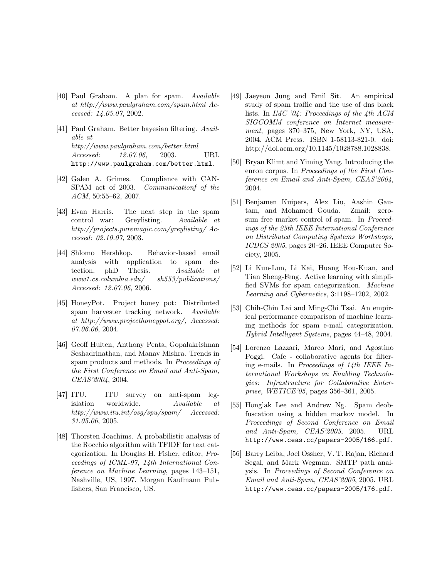- [40] Paul Graham. A plan for spam. Available at http://www.paulgraham.com/spam.html Accessed: 14.05.07, 2002.
- [41] Paul Graham. Better bayesian filtering. Available at http://www.paulgraham.com/better.html Accessed: 12.07.06, 2003. URL http://www.paulgraham.com/better.html.
- [42] Galen A. Grimes. Compliance with CAN-SPAM act of 2003. Communicationf of the ACM, 50:55–62, 2007.
- [43] Evan Harris. The next step in the spam control war: Greylisting. Available at http://projects.puremagic.com/greylisting/ Accessed: 02.10.07, 2003.
- [44] Shlomo Hershkop. Behavior-based email analysis with application to spam detection. phD Thesis. Available at www1.cs.columbia.edu/ sh553/publications/ Accessed: 12.07.06, 2006.
- [45] HoneyPot. Project honey pot: Distributed spam harvester tracking network. Available at http://www.projecthoneypot.org/, Accessed: 07.06.06, 2004.
- [46] Geoff Hulten, Anthony Penta, Gopalakrishnan Seshadrinathan, and Manav Mishra. Trends in spam products and methods. In Proceedings of the First Conference on Email and Anti-Spam, CEAS'2004, 2004.
- [47] ITU. ITU survey on anti-spam legislation worldwide. Available at http://www.itu.int/osg/spu/spam/ Accessed: 31.05.06, 2005.
- [48] Thorsten Joachims. A probabilistic analysis of the Rocchio algorithm with TFIDF for text categorization. In Douglas H. Fisher, editor, Proceedings of ICML-97, 14th International Conference on Machine Learning, pages 143–151, Nashville, US, 1997. Morgan Kaufmann Publishers, San Francisco, US.
- [49] Jaeyeon Jung and Emil Sit. An empirical study of spam traffic and the use of dns black lists. In IMC '04: Proceedings of the 4th ACM SIGCOMM conference on Internet measurement, pages 370–375, New York, NY, USA, 2004. ACM Press. ISBN 1-58113-821-0. doi: http://doi.acm.org/10.1145/1028788.1028838.
- [50] Bryan Klimt and Yiming Yang. Introducing the enron corpus. In Proceedings of the First Conference on Email and Anti-Spam, CEAS'2004, 2004.
- [51] Benjamen Kuipers, Alex Liu, Aashin Gautam, and Mohamed Gouda. Zmail: zerosum free market control of spam. In *Proceed*ings of the 25th IEEE International Conference on Distributed Computing Systems Workshops, ICDCS 2005, pages 20–26. IEEE Computer Society, 2005.
- [52] Li Kun-Lun, Li Kai, Huang Hou-Kuan, and Tian Sheng-Feng. Active learning with simplified SVMs for spam categorization. Machine Learning and Cybernetics, 3:1198–1202, 2002.
- [53] Chih-Chin Lai and Ming-Chi Tsai. An empirical performance comparison of machine learning methods for spam e-mail categorization. Hybrid Intelligent Systems, pages 44–48, 2004.
- [54] Lorenzo Lazzari, Marco Mari, and Agostino Poggi. Cafe - collaborative agents for filtering e-mails. In Proceedings of 14th IEEE International Workshops on Enabling Technologies: Infrastructure for Collaborative Enterprise, WETICE'05, pages 356–361, 2005.
- [55] Honglak Lee and Andrew Ng. Spam deobfuscation using a hidden markov model. In Proceedings of Second Conference on Email and Anti-Spam, CEAS'2005, 2005. URL http://www.ceas.cc/papers-2005/166.pdf.
- [56] Barry Leiba, Joel Ossher, V. T. Rajan, Richard Segal, and Mark Wegman. SMTP path analysis. In Proceedings of Second Conference on Email and Anti-Spam, CEAS'2005, 2005. URL http://www.ceas.cc/papers-2005/176.pdf.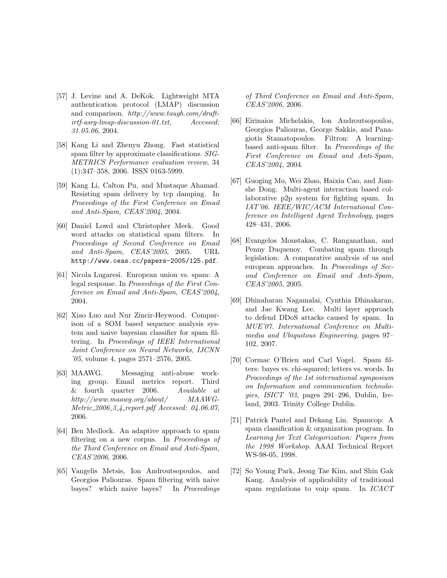- [57] J. Levine and A. DeKok. Lightweight MTA authentication protocol (LMAP) discussion and comparison. http://www.taugh.com/draftirtf-asrg-lmap-discussion-01.txt, Accessed: 31.05.06, 2004.
- [58] Kang Li and Zhenyu Zhong. Fast statistical spam filter by approximate classifications. SIG-METRICS Performance evaluation review, 34 (1):347–358, 2006. ISSN 0163-5999.
- [59] Kang Li, Calton Pu, and Mustaque Ahamad. Resisting spam delivery by tcp damping. In Proceedings of the First Conference on Email and Anti-Spam, CEAS'2004, 2004.
- [60] Daniel Lowd and Christopher Meek. Good word attacks on statistical spam filters. In Proceedings of Second Conference on Email and Anti-Spam, CEAS'2005, 2005. URL http://www.ceas.cc/papers-2005/125.pdf.
- [61] Nicola Lugaresi. European union vs. spam: A legal response. In Proceedings of the First Conference on Email and Anti-Spam, CEAS'2004, 2004.
- [62] Xiao Luo and Nur Zincir-Heywood. Comparison of a SOM based sequence analysis system and naive bayesian classifier for spam filtering. In Proceedings of IEEE International Joint Conference on Neural Networks, IJCNN '05, volume 4, pages 2571–2576, 2005.
- [63] MAAWG. Messaging anti-abuse working group. Email metrics report. Third & fourth quarter 2006. Available at http://www.maawg.org/about/ MAAWG-Metric 2006 3 4 report.pdf Accessed: 04.06.07, 2006.
- [64] Ben Medlock. An adaptive approach to spam filtering on a new corpus. In Proceedings of the Third Conference on Email and Anti-Spam, CEAS'2006, 2006.
- [65] Vangelis Metsis, Ion Androutsopoulos, and Georgios Paliouras. Spam filtering with naive bayes? which naive bayes? In Proceedings

of Third Conference on Email and Anti-Spam, CEAS'2006, 2006.

- [66] Eirinaios Michelakis, Ion Androutsopoulos, Georgios Paliouras, George Sakkis, and Panagiotis Stamatopoulos. Filtron: A learningbased anti-spam filter. In Proceedings of the First Conference on Email and Anti-Spam, CEAS'2004, 2004.
- [67] Guoging Mo, Wei Zhao, Haixia Cao, and Jianshe Dong. Multi-agent interaction based collaborative p2p system for fighting spam. In IAT'06. IEEE/WIC/ACM International Conference on Intelligent Agent Technology, pages 428–431, 2006.
- [68] Evangelos Moustakas, C. Ranganathan, and Penny Duquenoy. Combating spam through legislation: A comparative analysis of us and european approaches. In Proceedings of Second Conference on Email and Anti-Spam, CEAS'2005, 2005.
- [69] Dhinaharan Nagamalai, Cynthia Dhinakaran, and Jae Kwang Lee. Multi layer approach to defend DDoS attacks caused by spam. In MUE'07. International Conference on Multimedia and Ubiquitous Engineering, pages 97– 102, 2007.
- [70] Cormac O'Brien and Carl Vogel. Spam filters: bayes vs. chi-squared; letters vs. words. In Proceedings of the 1st international symposium on Information and communication technoloqies, ISICT '03, pages  $291-296$ , Dublin, Ireland, 2003. Trinity College Dublin.
- [71] Patrick Pantel and Dekang Lin. Spamcop: A spam classification & organization program. In Learning for Text Categorization: Papers from the 1998 Workshop. AAAI Technical Report WS-98-05, 1998.
- [72] So Young Park, Jeong Tae Kim, and Shin Gak Kang. Analysis of applicability of traditional spam regulations to voip spam. In ICACT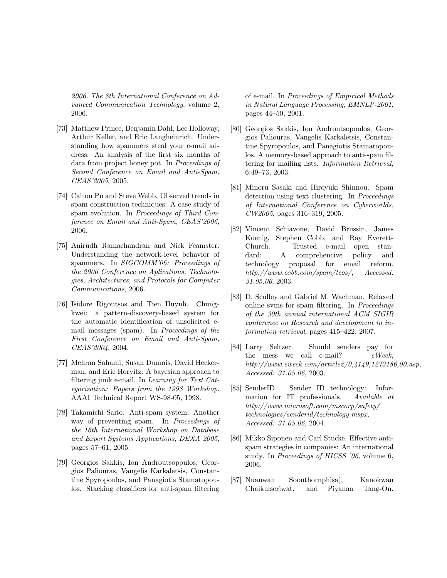2006. The 8th International Conference on Advanced Communication Technology, volume 2, 2006.

- [73] Matthew Prince, Benjamin Dahl, Lee Holloway, Arthur Keller, and Eric Langheinrich. Understanding how spammers steal your e-mail address: An analysis of the first six months of data from project honey pot. In Proceedings of Second Conference on Email and Anti-Spam, CEAS'2005, 2005.
- [74] Calton Pu and Steve Webb. Observed trends in spam construction techniques: A case study of spam evolution. In Proceedings of Third Conference on Email and Anti-Spam, CEAS'2006, 2006.
- [75] Anirudh Ramachandran and Nick Feamster. Understanding the network-level behavior of spammers. In SIGCOMM'06: Proceedings of the 2006 Conference on Aplications, Technologies, Architectures, and Protocols for Computer Communications, 2006.
- [76] Isidore Rigoutsos and Tien Huynh. Chungkwei: a pattern-discovery-based system for the automatic identification of unsolicited email messages (spam). In Proceedings of the First Conference on Email and Anti-Spam, CEAS'2004, 2004.
- [77] Mehran Sahami, Susan Dumais, David Heckerman, and Eric Horvitz. A bayesian approach to filtering junk e-mail. In Learning for Text Categorization: Papers from the 1998 Workshop. AAAI Technical Report WS-98-05, 1998.
- [78] Takamichi Saito. Anti-spam system: Another way of preventing spam. In Proceedings of the 16th International Workshop on Database and Expert Systems Applications, DEXA 2005, pages 57–61, 2005.
- [79] Georgios Sakkis, Ion Androutsopoulos, Georgios Paliouras, Vangelis Karkaletsis, Constantine Spyropoulos, and Panagiotis Stamatopoulos. Stacking classifiers for anti-spam filtering

of e-mail. In Proceedings of Empirical Methods in Natural Language Processing, EMNLP-2001, pages 44–50, 2001.

- [80] Georgios Sakkis, Ion Androutsopoulos, Georgios Paliouras, Vangelis Karkaletsis, Constantine Spyropoulos, and Panagiotis Stamatopoulos. A memory-based approach to anti-spam filtering for mailing lists. Information Retrieval, 6:49–73, 2003.
- [81] Minoru Sasaki and Hiroyuki Shinnou. Spam detection using text clustering. In Proceedings of International Conference on Cyberworlds, CW2005, pages 316–319, 2005.
- [82] Vincent Schiavone, David Brussin, James Koenig, Stephen Cobb, and Ray Everett-Church. Trusted e-mail open standard: A comprehencive policy and technology proposal for email reform. http://www.cobb.com/spam/teos/, Accessed: 31.05.06, 2003.
- [83] D. Sculley and Gabriel M. Wachman. Relaxed online svms for spam filtering. In Proceedings of the 30th annual international ACM SIGIR conference on Research and development in information retrieval, pages 415–422, 2007.
- [84] Larry Seltzer. Should senders pay for the mess we call e-mail?  $eWee$ , http://www.eweek.com/article2/0,4149,1273186,00.asp, Accessed: 31.05.06, 2003.
- [85] SenderID. Sender ID technology: Information for IT professionals. Available at http://www.microsoft.com/mscorp/safety/ technologies/senderid/technology.mspx, Accessed: 31.05.06, 2004.
- [86] Mikko Siponen and Carl Stucke. Effective antispam strategies in companies: An international study. In *Proceedings of HICSS '06*, volume 6, 2006.
- [87] Nuanwan Soonthornphisaj, Kanokwan Chaikulseriwat, and Piyanan Tang-On.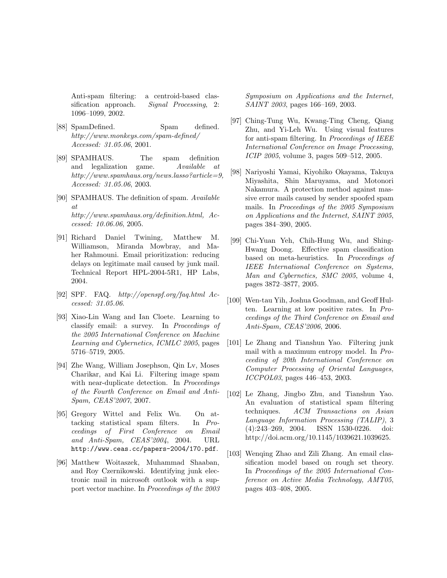Anti-spam filtering: a centroid-based classification approach. Signal Processing, 2: 1096–1099, 2002.

- [88] SpamDefined. Spam defined. http://www.monkeys.com/spam-defined/ Accessed: 31.05.06, 2001.
- [89] SPAMHAUS. The spam definition and legalization game. Available at  $http://www.spamhaus.org/news.lasso?article=9,$ Accessed: 31.05.06, 2003.
- [90] SPAMHAUS. The definition of spam. Available at http://www.spamhaus.org/definition.html, Accessed: 10.06.06, 2005.
- [91] Richard Daniel Twining, Matthew M. Williamson, Miranda Mowbray, and Maher Rahmouni. Email prioritization: reducing delays on legitimate mail caused by junk mail. Technical Report HPL-2004-5R1, HP Labs, 2004.
- [92] SPF. FAQ. http://openspf.org/faq.html Accessed: 31.05.06.
- [93] Xiao-Lin Wang and Ian Cloete. Learning to classify email: a survey. In Proceedings of the 2005 International Conference on Machine Learning and Cybernetics, ICMLC 2005, pages 5716–5719, 2005.
- [94] Zhe Wang, William Josephson, Qin Lv, Moses Charikar, and Kai Li. Filtering image spam with near-duplicate detection. In *Proceedings* of the Fourth Conference on Email and Anti-Spam, CEAS'2007, 2007.
- [95] Gregory Wittel and Felix Wu. On attacking statistical spam filters. In Proceedings of First Conference on Email and Anti-Spam, CEAS'2004, 2004. URL http://www.ceas.cc/papers-2004/170.pdf.
- [96] Matthew Woitaszek, Muhammad Shaaban, and Roy Czernikowski. Identifying junk electronic mail in microsoft outlook with a support vector machine. In Proceedings of the 2003

Symposium on Applications and the Internet, SAINT 2003, pages 166–169, 2003.

- [97] Ching-Tung Wu, Kwang-Ting Cheng, Qiang Zhu, and Yi-Leh Wu. Using visual features for anti-spam filtering. In Proceedings of IEEE International Conference on Image Processing, ICIP 2005, volume 3, pages 509–512, 2005.
- [98] Nariyoshi Yamai, Kiyohiko Okayama, Takuya Miyashita, Shin Maruyama, and Motonori Nakamura. A protection method against massive error mails caused by sender spoofed spam mails. In Proceedings of the 2005 Symposium on Applications and the Internet, SAINT 2005, pages 384–390, 2005.
- [99] Chi-Yuan Yeh, Chih-Hung Wu, and Shing-Hwang Doong. Effective spam classification based on meta-heuristics. In *Proceedings of* IEEE International Conference on Systems, Man and Cybernetics, SMC 2005, volume 4, pages 3872–3877, 2005.
- [100] Wen-tau Yih, Joshua Goodman, and Geoff Hulten. Learning at low positive rates. In Proceedings of the Third Conference on Email and Anti-Spam, CEAS'2006, 2006.
- [101] Le Zhang and Tianshun Yao. Filtering junk mail with a maximum entropy model. In Proceeding of 20th International Conference on Computer Processing of Oriental Languages, ICCPOL03, pages 446–453, 2003.
- [102] Le Zhang, Jingbo Zhu, and Tianshun Yao. An evaluation of statistical spam filtering techniques. ACM Transactions on Asian Language Information Processing (TALIP), 3 (4):243–269, 2004. ISSN 1530-0226. doi: http://doi.acm.org/10.1145/1039621.1039625.
- [103] Wenqing Zhao and Zili Zhang. An email classification model based on rough set theory. In Proceedings of the 2005 International Conference on Active Media Technology, AMT05, pages 403–408, 2005.